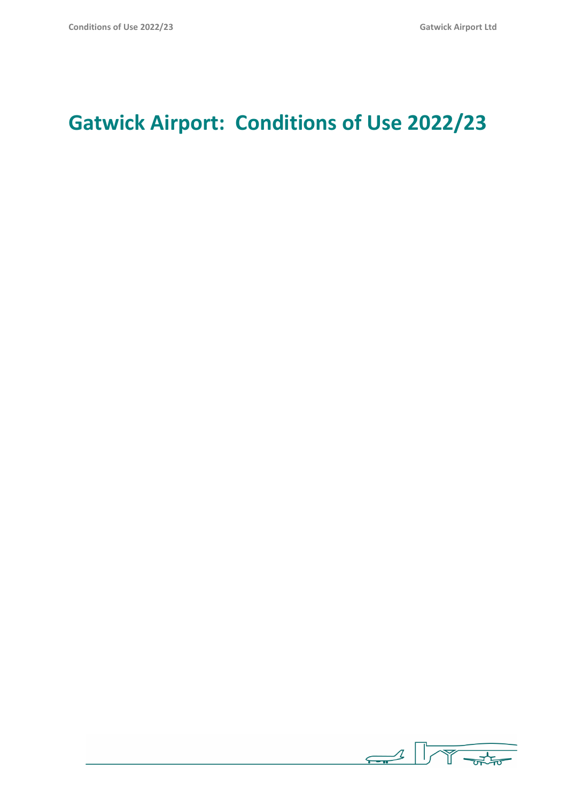# **Gatwick Airport: Conditions of Use 2022/23**

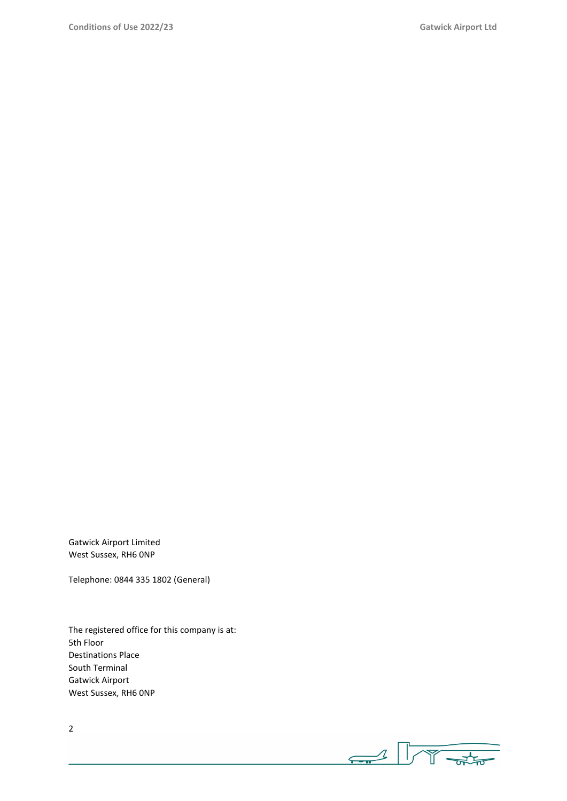Gatwick Airport Limited West Sussex, RH6 0NP

Telephone: 0844 335 1802 (General)

The registered office for this company is at: 5th Floor Destinations Place South Terminal Gatwick Airport West Sussex, RH6 0NP

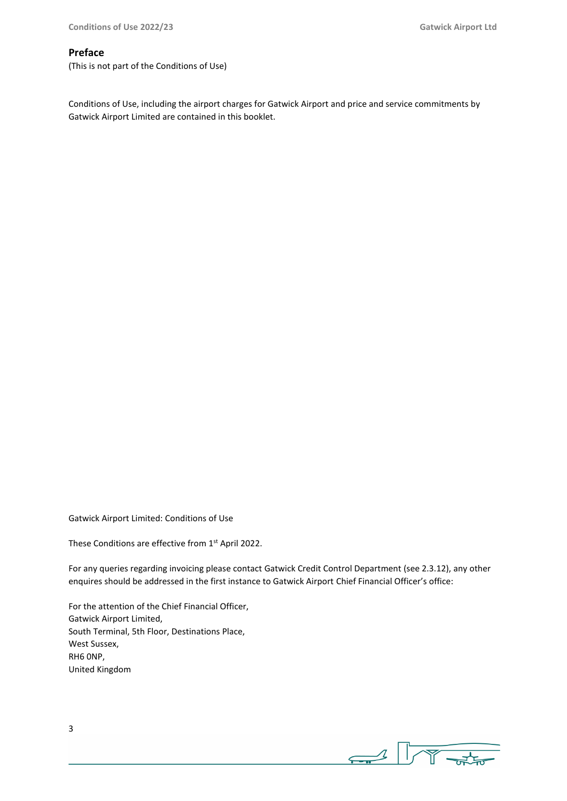## **Preface**

(This is not part of the Conditions of Use)

Conditions of Use, including the airport charges for Gatwick Airport and price and service commitments by Gatwick Airport Limited are contained in this booklet.

Gatwick Airport Limited: Conditions of Use

These Conditions are effective from 1<sup>st</sup> April 2022.

For any queries regarding invoicing please contact Gatwick Credit Control Department (see 2.3.12), any other enquires should be addressed in the first instance to Gatwick Airport Chief Financial Officer's office:

For the attention of the Chief Financial Officer, Gatwick Airport Limited, South Terminal, 5th Floor, Destinations Place, West Sussex, RH6 0NP, United Kingdom

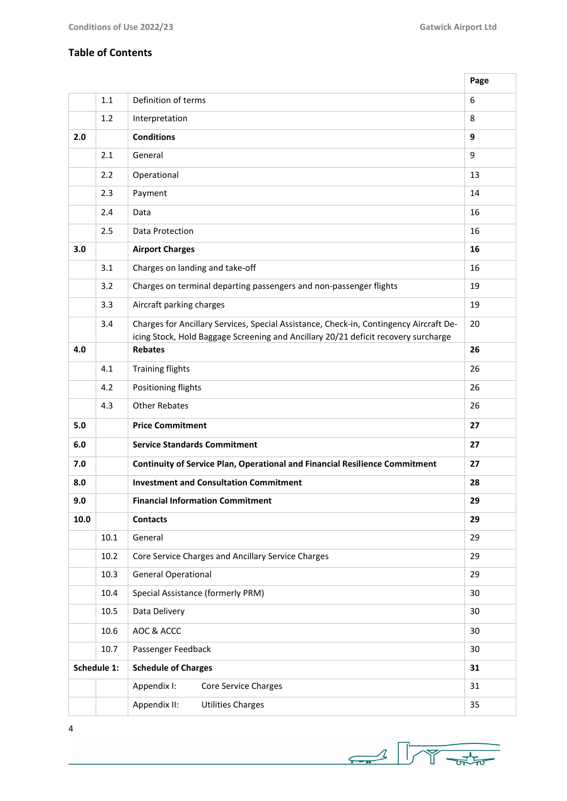٦

# **Table of Contents**

|      |             |                                                                                                                                                                              | Page |
|------|-------------|------------------------------------------------------------------------------------------------------------------------------------------------------------------------------|------|
|      | 1.1         | Definition of terms                                                                                                                                                          | 6    |
|      | 1.2         | Interpretation                                                                                                                                                               | 8    |
| 2.0  |             | <b>Conditions</b>                                                                                                                                                            | 9    |
|      | 2.1         | General                                                                                                                                                                      | 9    |
|      | 2.2         | Operational                                                                                                                                                                  | 13   |
|      | 2.3         | Payment                                                                                                                                                                      | 14   |
|      | 2.4         | Data                                                                                                                                                                         | 16   |
|      | 2.5         | Data Protection                                                                                                                                                              | 16   |
| 3.0  |             | <b>Airport Charges</b>                                                                                                                                                       | 16   |
|      | 3.1         | Charges on landing and take-off                                                                                                                                              | 16   |
|      | 3.2         | Charges on terminal departing passengers and non-passenger flights                                                                                                           | 19   |
|      | 3.3         | Aircraft parking charges                                                                                                                                                     | 19   |
|      | 3.4         | Charges for Ancillary Services, Special Assistance, Check-in, Contingency Aircraft De-<br>icing Stock, Hold Baggage Screening and Ancillary 20/21 deficit recovery surcharge | 20   |
| 4.0  |             | <b>Rebates</b>                                                                                                                                                               | 26   |
|      | 4.1         | <b>Training flights</b>                                                                                                                                                      | 26   |
|      | 4.2         | Positioning flights                                                                                                                                                          | 26   |
|      | 4.3         | <b>Other Rebates</b>                                                                                                                                                         |      |
| 5.0  |             | <b>Price Commitment</b>                                                                                                                                                      | 27   |
| 6.0  |             | <b>Service Standards Commitment</b>                                                                                                                                          | 27   |
| 7.0  |             | <b>Continuity of Service Plan, Operational and Financial Resilience Commitment</b>                                                                                           | 27   |
| 8.0  |             | <b>Investment and Consultation Commitment</b>                                                                                                                                | 28   |
| 9.0  |             | <b>Financial Information Commitment</b>                                                                                                                                      | 29   |
| 10.0 |             | <b>Contacts</b>                                                                                                                                                              | 29   |
|      | 10.1        | General                                                                                                                                                                      | 29   |
|      | 10.2        | Core Service Charges and Ancillary Service Charges                                                                                                                           | 29   |
|      | 10.3        | <b>General Operational</b>                                                                                                                                                   | 29   |
|      | 10.4        | Special Assistance (formerly PRM)                                                                                                                                            | 30   |
|      | 10.5        | Data Delivery                                                                                                                                                                | 30   |
|      | 10.6        | AOC & ACCC                                                                                                                                                                   | 30   |
|      | 10.7        | Passenger Feedback                                                                                                                                                           | 30   |
|      | Schedule 1: | <b>Schedule of Charges</b>                                                                                                                                                   | 31   |
|      |             | Appendix I:<br><b>Core Service Charges</b>                                                                                                                                   | 31   |
|      |             | Appendix II:<br><b>Utilities Charges</b>                                                                                                                                     | 35   |

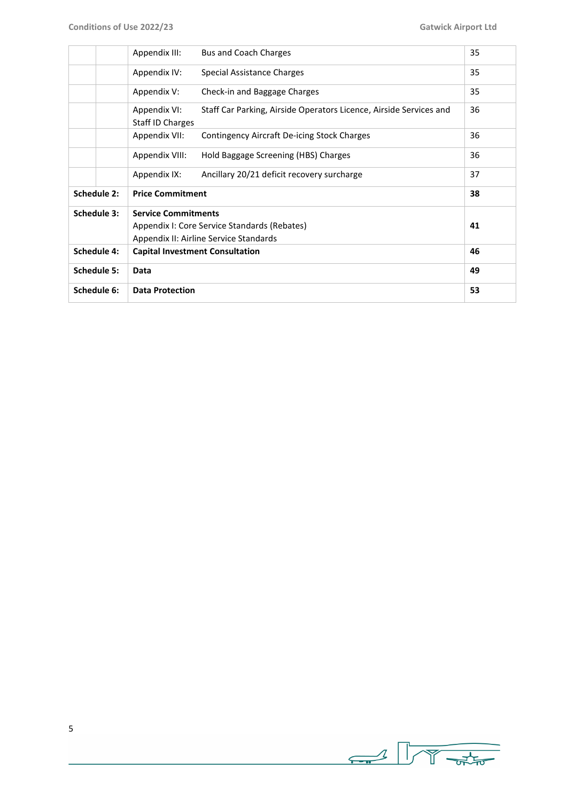|                     |             | Appendix III:                          | Bus and Coach Charges                                              | 35 |
|---------------------|-------------|----------------------------------------|--------------------------------------------------------------------|----|
|                     |             | Appendix IV:                           | Special Assistance Charges                                         | 35 |
|                     |             | Appendix V:                            | Check-in and Baggage Charges                                       | 35 |
|                     |             | Appendix VI:<br>Staff ID Charges       | Staff Car Parking, Airside Operators Licence, Airside Services and | 36 |
|                     |             | Appendix VII:                          | Contingency Aircraft De-icing Stock Charges                        | 36 |
|                     |             | Appendix VIII:                         | Hold Baggage Screening (HBS) Charges                               | 36 |
|                     |             | Appendix IX:                           | Ancillary 20/21 deficit recovery surcharge                         | 37 |
| Schedule 2:         |             | <b>Price Commitment</b>                |                                                                    | 38 |
|                     | Schedule 3: | <b>Service Commitments</b>             |                                                                    |    |
|                     |             |                                        | Appendix I: Core Service Standards (Rebates)                       | 41 |
|                     |             |                                        | Appendix II: Airline Service Standards                             |    |
| Schedule 4:         |             | <b>Capital Investment Consultation</b> |                                                                    | 46 |
| Schedule 5:<br>Data |             |                                        |                                                                    | 49 |
| Schedule 6:         |             | <b>Data Protection</b>                 |                                                                    | 53 |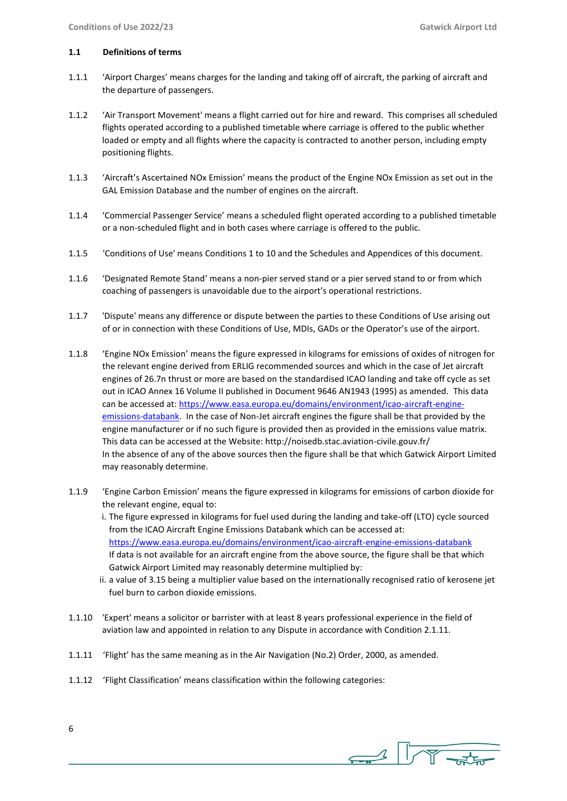#### **1.1 Definitions of terms**

- 1.1.1 'Airport Charges' means charges for the landing and taking off of aircraft, the parking of aircraft and the departure of passengers.
- 1.1.2 'Air Transport Movement' means a flight carried out for hire and reward. This comprises all scheduled flights operated according to a published timetable where carriage is offered to the public whether loaded or empty and all flights where the capacity is contracted to another person, including empty positioning flights.
- 1.1.3 'Aircraft's Ascertained NOx Emission' means the product of the Engine NOx Emission as set out in the GAL Emission Database and the number of engines on the aircraft.
- 1.1.4 'Commercial Passenger Service' means a scheduled flight operated according to a published timetable or a non-scheduled flight and in both cases where carriage is offered to the public.
- 1.1.5 'Conditions of Use' means Conditions 1 to 10 and the Schedules and Appendices of this document.
- 1.1.6 'Designated Remote Stand' means a non-pier served stand or a pier served stand to or from which coaching of passengers is unavoidable due to the airport's operational restrictions.
- 1.1.7 'Dispute' means any difference or dispute between the parties to these Conditions of Use arising out of or in connection with these Conditions of Use, MDIs, GADs or the Operator's use of the airport.
- 1.1.8 'Engine NOx Emission' means the figure expressed in kilograms for emissions of oxides of nitrogen for the relevant engine derived from ERLIG recommended sources and which in the case of Jet aircraft engines of 26.7n thrust or more are based on the standardised ICAO landing and take off cycle as set out in ICAO Annex 16 Volume II published in Document 9646 AN1943 (1995) as amended. This data can be accessed at: [https://www.easa.europa.eu/domains/environment/icao-aircraft-engine](https://www.easa.europa.eu/domains/environment/icao-aircraft-engine-emissions-databank)[emissions-databank.](https://www.easa.europa.eu/domains/environment/icao-aircraft-engine-emissions-databank) In the case of Non-Jet aircraft engines the figure shall be that provided by the engine manufacturer or if no such figure is provided then as provided in the emissions value matrix. This data can be accessed at the Website: http://noisedb.stac.aviation-civile.gouv.fr/ In the absence of any of the above sources then the figure shall be that which Gatwick Airport Limited may reasonably determine.
- 1.1.9 'Engine Carbon Emission' means the figure expressed in kilograms for emissions of carbon dioxide for the relevant engine, equal to:
	- i. The figure expressed in kilograms for fuel used during the landing and take-off (LTO) cycle sourced from the ICAO Aircraft Engine Emissions Databank which can be accessed at: <https://www.easa.europa.eu/domains/environment/icao-aircraft-engine-emissions-databank> If data is not available for an aircraft engine from the above source, the figure shall be that which Gatwick Airport Limited may reasonably determine multiplied by:
	- ii. a value of 3.15 being a multiplier value based on the internationally recognised ratio of kerosene jet fuel burn to carbon dioxide emissions.
- 1.1.10 'Expert' means a solicitor or barrister with at least 8 years professional experience in the field of aviation law and appointed in relation to any Dispute in accordance with Condition 2.1.11.
- 1.1.11 'Flight' has the same meaning as in the Air Navigation (No.2) Order, 2000, as amended.
- 1.1.12 'Flight Classification' means classification within the following categories:
- 6

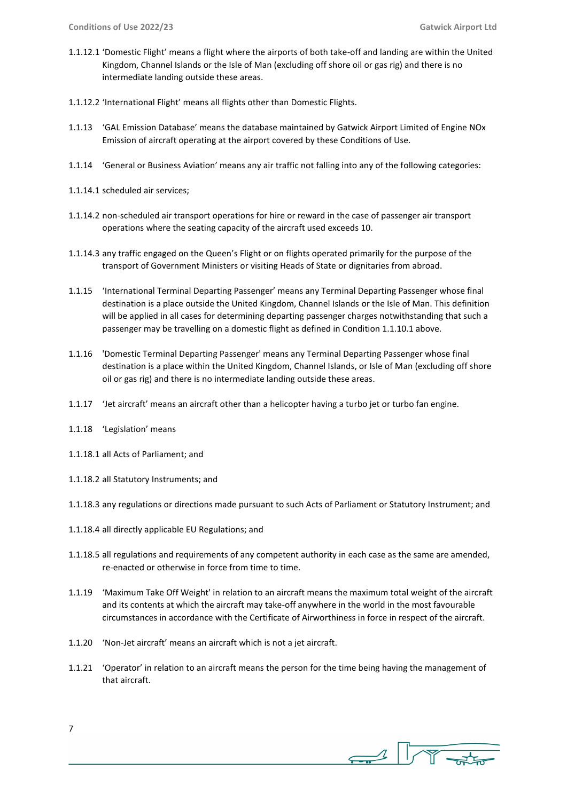- 1.1.12.1 'Domestic Flight' means a flight where the airports of both take-off and landing are within the United Kingdom, Channel Islands or the Isle of Man (excluding off shore oil or gas rig) and there is no intermediate landing outside these areas.
- 1.1.12.2 'International Flight' means all flights other than Domestic Flights.
- 1.1.13 'GAL Emission Database' means the database maintained by Gatwick Airport Limited of Engine NOx Emission of aircraft operating at the airport covered by these Conditions of Use.
- 1.1.14 'General or Business Aviation' means any air traffic not falling into any of the following categories:
- 1.1.14.1 scheduled air services;
- 1.1.14.2 non-scheduled air transport operations for hire or reward in the case of passenger air transport operations where the seating capacity of the aircraft used exceeds 10.
- 1.1.14.3 any traffic engaged on the Queen's Flight or on flights operated primarily for the purpose of the transport of Government Ministers or visiting Heads of State or dignitaries from abroad.
- 1.1.15 'International Terminal Departing Passenger' means any Terminal Departing Passenger whose final destination is a place outside the United Kingdom, Channel Islands or the Isle of Man. This definition will be applied in all cases for determining departing passenger charges notwithstanding that such a passenger may be travelling on a domestic flight as defined in Condition 1.1.10.1 above.
- 1.1.16 'Domestic Terminal Departing Passenger' means any Terminal Departing Passenger whose final destination is a place within the United Kingdom, Channel Islands, or Isle of Man (excluding off shore oil or gas rig) and there is no intermediate landing outside these areas.
- 1.1.17 'Jet aircraft' means an aircraft other than a helicopter having a turbo jet or turbo fan engine.
- 1.1.18 'Legislation' means
- 1.1.18.1 all Acts of Parliament; and
- 1.1.18.2 all Statutory Instruments; and
- 1.1.18.3 any regulations or directions made pursuant to such Acts of Parliament or Statutory Instrument; and
- 1.1.18.4 all directly applicable EU Regulations; and
- 1.1.18.5 all regulations and requirements of any competent authority in each case as the same are amended, re-enacted or otherwise in force from time to time.
- 1.1.19 'Maximum Take Off Weight' in relation to an aircraft means the maximum total weight of the aircraft and its contents at which the aircraft may take-off anywhere in the world in the most favourable circumstances in accordance with the Certificate of Airworthiness in force in respect of the aircraft.
- 1.1.20 'Non-Jet aircraft' means an aircraft which is not a jet aircraft.
- 1.1.21 'Operator' in relation to an aircraft means the person for the time being having the management of that aircraft.

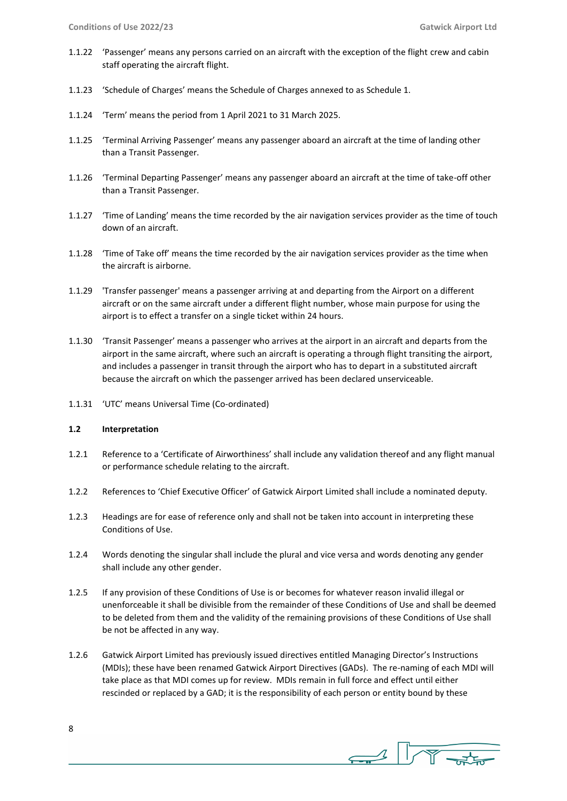- 1.1.22 'Passenger' means any persons carried on an aircraft with the exception of the flight crew and cabin staff operating the aircraft flight.
- 1.1.23 'Schedule of Charges' means the Schedule of Charges annexed to as Schedule 1.
- 1.1.24 'Term' means the period from 1 April 2021 to 31 March 2025.
- 1.1.25 'Terminal Arriving Passenger' means any passenger aboard an aircraft at the time of landing other than a Transit Passenger.
- 1.1.26 'Terminal Departing Passenger' means any passenger aboard an aircraft at the time of take-off other than a Transit Passenger.
- 1.1.27 'Time of Landing' means the time recorded by the air navigation services provider as the time of touch down of an aircraft.
- 1.1.28 'Time of Take off' means the time recorded by the air navigation services provider as the time when the aircraft is airborne.
- 1.1.29 'Transfer passenger' means a passenger arriving at and departing from the Airport on a different aircraft or on the same aircraft under a different flight number, whose main purpose for using the airport is to effect a transfer on a single ticket within 24 hours.
- 1.1.30 'Transit Passenger' means a passenger who arrives at the airport in an aircraft and departs from the airport in the same aircraft, where such an aircraft is operating a through flight transiting the airport, and includes a passenger in transit through the airport who has to depart in a substituted aircraft because the aircraft on which the passenger arrived has been declared unserviceable.
- 1.1.31 'UTC' means Universal Time (Co-ordinated)

## **1.2 Interpretation**

- 1.2.1 Reference to a 'Certificate of Airworthiness' shall include any validation thereof and any flight manual or performance schedule relating to the aircraft.
- 1.2.2 References to 'Chief Executive Officer' of Gatwick Airport Limited shall include a nominated deputy.
- 1.2.3 Headings are for ease of reference only and shall not be taken into account in interpreting these Conditions of Use.
- 1.2.4 Words denoting the singular shall include the plural and vice versa and words denoting any gender shall include any other gender.
- 1.2.5 If any provision of these Conditions of Use is or becomes for whatever reason invalid illegal or unenforceable it shall be divisible from the remainder of these Conditions of Use and shall be deemed to be deleted from them and the validity of the remaining provisions of these Conditions of Use shall be not be affected in any way.
- 1.2.6 Gatwick Airport Limited has previously issued directives entitled Managing Director's Instructions (MDIs); these have been renamed Gatwick Airport Directives (GADs). The re-naming of each MDI will take place as that MDI comes up for review. MDIs remain in full force and effect until either rescinded or replaced by a GAD; it is the responsibility of each person or entity bound by these

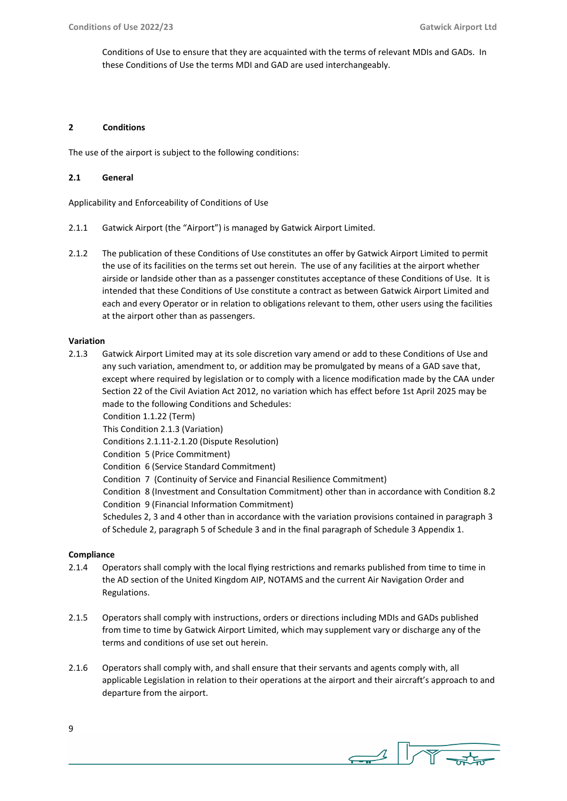Conditions of Use to ensure that they are acquainted with the terms of relevant MDIs and GADs. In these Conditions of Use the terms MDI and GAD are used interchangeably.

#### **2 Conditions**

The use of the airport is subject to the following conditions:

## **2.1 General**

Applicability and Enforceability of Conditions of Use

- 2.1.1 Gatwick Airport (the "Airport") is managed by Gatwick Airport Limited.
- 2.1.2 The publication of these Conditions of Use constitutes an offer by Gatwick Airport Limited to permit the use of its facilities on the terms set out herein. The use of any facilities at the airport whether airside or landside other than as a passenger constitutes acceptance of these Conditions of Use. It is intended that these Conditions of Use constitute a contract as between Gatwick Airport Limited and each and every Operator or in relation to obligations relevant to them, other users using the facilities at the airport other than as passengers.

#### **Variation**

2.1.3 Gatwick Airport Limited may at its sole discretion vary amend or add to these Conditions of Use and any such variation, amendment to, or addition may be promulgated by means of a GAD save that, except where required by legislation or to comply with a licence modification made by the CAA under Section 22 of the Civil Aviation Act 2012, no variation which has effect before 1st April 2025 may be made to the following Conditions and Schedules:

Condition 1.1.22 (Term)

This Condition 2.1.3 (Variation)

Conditions 2.1.11-2.1.20 (Dispute Resolution)

Condition 5 (Price Commitment)

Condition 6 (Service Standard Commitment)

Condition 7 (Continuity of Service and Financial Resilience Commitment)

 Condition 8 (Investment and Consultation Commitment) other than in accordance with Condition 8.2 Condition 9 (Financial Information Commitment)

 Schedules 2, 3 and 4 other than in accordance with the variation provisions contained in paragraph 3 of Schedule 2, paragraph 5 of Schedule 3 and in the final paragraph of Schedule 3 Appendix 1.

## **Compliance**

- 2.1.4 Operators shall comply with the local flying restrictions and remarks published from time to time in the AD section of the United Kingdom AIP, NOTAMS and the current Air Navigation Order and Regulations.
- 2.1.5 Operators shall comply with instructions, orders or directions including MDIs and GADs published from time to time by Gatwick Airport Limited, which may supplement vary or discharge any of the terms and conditions of use set out herein.
- 2.1.6 Operators shall comply with, and shall ensure that their servants and agents comply with, all applicable Legislation in relation to their operations at the airport and their aircraft's approach to and departure from the airport.

 $\begin{array}{c} \begin{array}{c} \begin{array}{c} \end{array} \\ \begin{array}{c} \end{array} \end{array} \end{array}$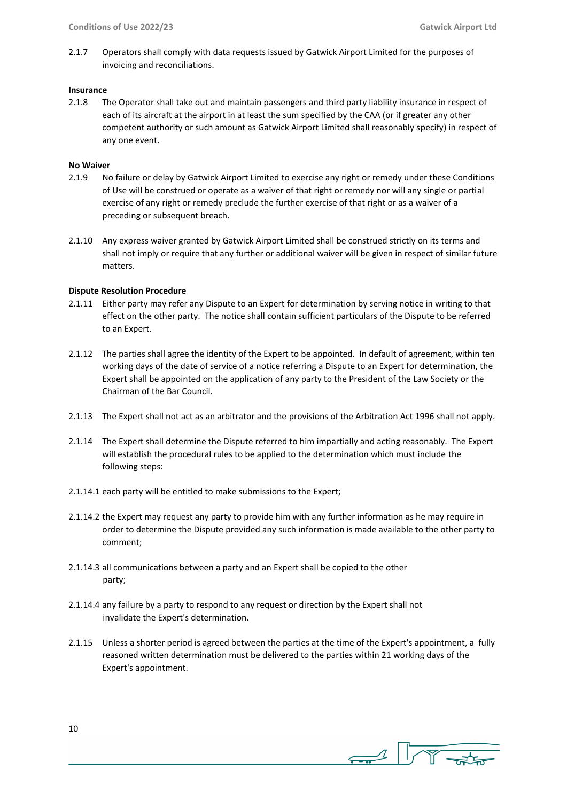2.1.7 Operators shall comply with data requests issued by Gatwick Airport Limited for the purposes of invoicing and reconciliations.

#### **Insurance**

2.1.8 The Operator shall take out and maintain passengers and third party liability insurance in respect of each of its aircraft at the airport in at least the sum specified by the CAA (or if greater any other competent authority or such amount as Gatwick Airport Limited shall reasonably specify) in respect of any one event.

## **No Waiver**

- 2.1.9 No failure or delay by Gatwick Airport Limited to exercise any right or remedy under these Conditions of Use will be construed or operate as a waiver of that right or remedy nor will any single or partial exercise of any right or remedy preclude the further exercise of that right or as a waiver of a preceding or subsequent breach.
- 2.1.10 Any express waiver granted by Gatwick Airport Limited shall be construed strictly on its terms and shall not imply or require that any further or additional waiver will be given in respect of similar future matters.

## **Dispute Resolution Procedure**

- 2.1.11 Either party may refer any Dispute to an Expert for determination by serving notice in writing to that effect on the other party. The notice shall contain sufficient particulars of the Dispute to be referred to an Expert.
- 2.1.12 The parties shall agree the identity of the Expert to be appointed. In default of agreement, within ten working days of the date of service of a notice referring a Dispute to an Expert for determination, the Expert shall be appointed on the application of any party to the President of the Law Society or the Chairman of the Bar Council.
- 2.1.13 The Expert shall not act as an arbitrator and the provisions of the Arbitration Act 1996 shall not apply.
- 2.1.14 The Expert shall determine the Dispute referred to him impartially and acting reasonably. The Expert will establish the procedural rules to be applied to the determination which must include the following steps:
- 2.1.14.1 each party will be entitled to make submissions to the Expert;
- 2.1.14.2 the Expert may request any party to provide him with any further information as he may require in order to determine the Dispute provided any such information is made available to the other party to comment;
- 2.1.14.3 all communications between a party and an Expert shall be copied to the other party;
- 2.1.14.4 any failure by a party to respond to any request or direction by the Expert shall not invalidate the Expert's determination.
- 2.1.15 Unless a shorter period is agreed between the parties at the time of the Expert's appointment, a fully reasoned written determination must be delivered to the parties within 21 working days of the Expert's appointment.

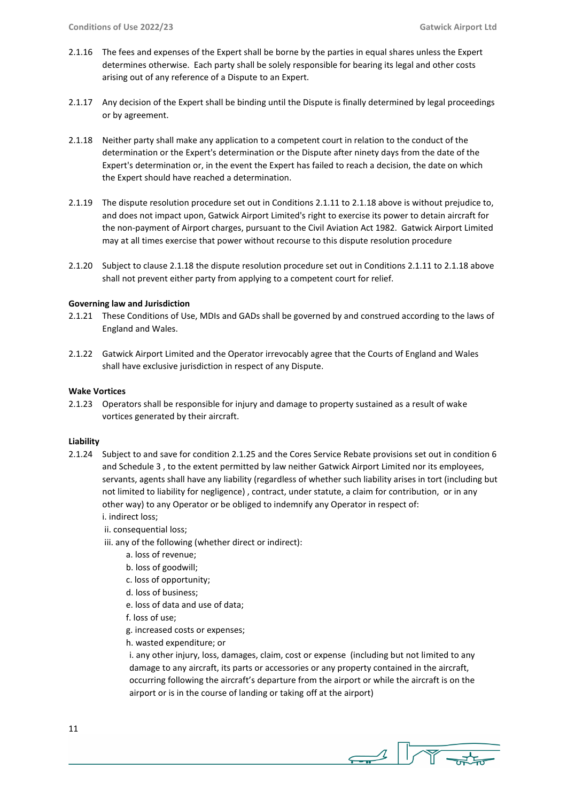- 2.1.16 The fees and expenses of the Expert shall be borne by the parties in equal shares unless the Expert determines otherwise. Each party shall be solely responsible for bearing its legal and other costs arising out of any reference of a Dispute to an Expert.
- 2.1.17 Any decision of the Expert shall be binding until the Dispute is finally determined by legal proceedings or by agreement.
- 2.1.18 Neither party shall make any application to a competent court in relation to the conduct of the determination or the Expert's determination or the Dispute after ninety days from the date of the Expert's determination or, in the event the Expert has failed to reach a decision, the date on which the Expert should have reached a determination.
- 2.1.19 The dispute resolution procedure set out in Conditions 2.1.11 to 2.1.18 above is without prejudice to, and does not impact upon, Gatwick Airport Limited's right to exercise its power to detain aircraft for the non-payment of Airport charges, pursuant to the Civil Aviation Act 1982. Gatwick Airport Limited may at all times exercise that power without recourse to this dispute resolution procedure
- 2.1.20 Subject to clause 2.1.18 the dispute resolution procedure set out in Conditions 2.1.11 to 2.1.18 above shall not prevent either party from applying to a competent court for relief.

#### **Governing law and Jurisdiction**

- 2.1.21 These Conditions of Use, MDIs and GADs shall be governed by and construed according to the laws of England and Wales.
- 2.1.22 Gatwick Airport Limited and the Operator irrevocably agree that the Courts of England and Wales shall have exclusive jurisdiction in respect of any Dispute.

#### **Wake Vortices**

2.1.23 Operators shall be responsible for injury and damage to property sustained as a result of wake vortices generated by their aircraft.

#### **Liability**

- 2.1.24 Subject to and save for condition 2.1.25 and the Cores Service Rebate provisions set out in condition 6 and Schedule 3 , to the extent permitted by law neither Gatwick Airport Limited nor its employees, servants, agents shall have any liability (regardless of whether such liability arises in tort (including but not limited to liability for negligence) , contract, under statute, a claim for contribution, or in any other way) to any Operator or be obliged to indemnify any Operator in respect of: i. indirect loss;
	- ii. consequential loss;
	- iii. any of the following (whether direct or indirect):
		- a. loss of revenue;
		- b. loss of goodwill;
		- c. loss of opportunity;
		- d. loss of business;
		- e. loss of data and use of data;
		- f. loss of use;
		- g. increased costs or expenses;
		- h. wasted expenditure; or

i. any other injury, loss, damages, claim, cost or expense (including but not limited to any damage to any aircraft, its parts or accessories or any property contained in the aircraft, occurring following the aircraft's departure from the airport or while the aircraft is on the airport or is in the course of landing or taking off at the airport)

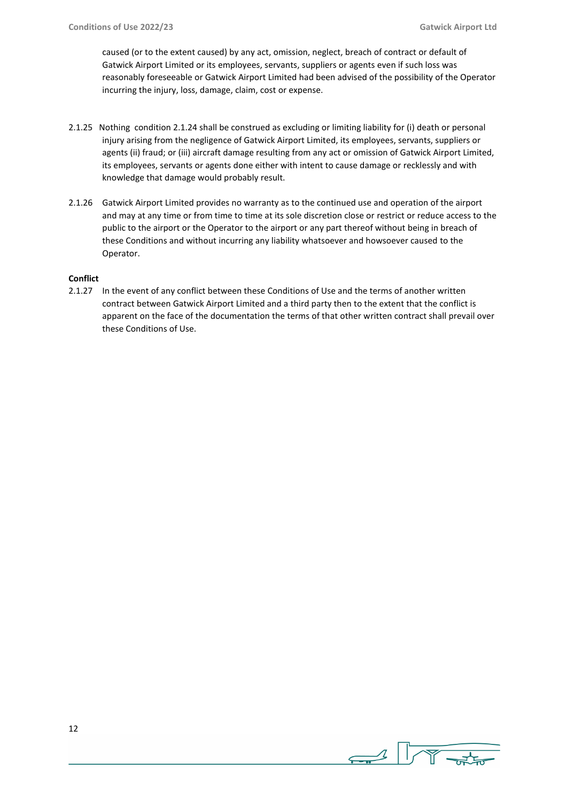caused (or to the extent caused) by any act, omission, neglect, breach of contract or default of Gatwick Airport Limited or its employees, servants, suppliers or agents even if such loss was reasonably foreseeable or Gatwick Airport Limited had been advised of the possibility of the Operator incurring the injury, loss, damage, claim, cost or expense.

- 2.1.25 Nothing condition 2.1.24 shall be construed as excluding or limiting liability for (i) death or personal injury arising from the negligence of Gatwick Airport Limited, its employees, servants, suppliers or agents (ii) fraud; or (iii) aircraft damage resulting from any act or omission of Gatwick Airport Limited, its employees, servants or agents done either with intent to cause damage or recklessly and with knowledge that damage would probably result.
- 2.1.26 Gatwick Airport Limited provides no warranty as to the continued use and operation of the airport and may at any time or from time to time at its sole discretion close or restrict or reduce access to the public to the airport or the Operator to the airport or any part thereof without being in breach of these Conditions and without incurring any liability whatsoever and howsoever caused to the Operator.

## **Conflict**

2.1.27 In the event of any conflict between these Conditions of Use and the terms of another written contract between Gatwick Airport Limited and a third party then to the extent that the conflict is apparent on the face of the documentation the terms of that other written contract shall prevail over these Conditions of Use.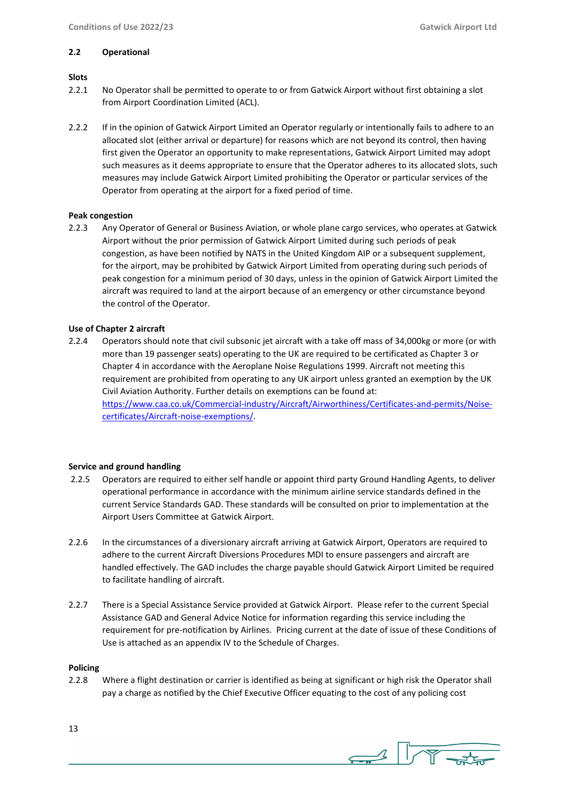#### **2.2 Operational**

## **Slots**

- 2.2.1 No Operator shall be permitted to operate to or from Gatwick Airport without first obtaining a slot from Airport Coordination Limited (ACL).
- 2.2.2 If in the opinion of Gatwick Airport Limited an Operator regularly or intentionally fails to adhere to an allocated slot (either arrival or departure) for reasons which are not beyond its control, then having first given the Operator an opportunity to make representations, Gatwick Airport Limited may adopt such measures as it deems appropriate to ensure that the Operator adheres to its allocated slots, such measures may include Gatwick Airport Limited prohibiting the Operator or particular services of the Operator from operating at the airport for a fixed period of time.

## **Peak congestion**

2.2.3 Any Operator of General or Business Aviation, or whole plane cargo services, who operates at Gatwick Airport without the prior permission of Gatwick Airport Limited during such periods of peak congestion, as have been notified by NATS in the United Kingdom AIP or a subsequent supplement, for the airport, may be prohibited by Gatwick Airport Limited from operating during such periods of peak congestion for a minimum period of 30 days, unless in the opinion of Gatwick Airport Limited the aircraft was required to land at the airport because of an emergency or other circumstance beyond the control of the Operator.

## **Use of Chapter 2 aircraft**

2.2.4 Operators should note that civil subsonic jet aircraft with a take off mass of 34,000kg or more (or with more than 19 passenger seats) operating to the UK are required to be certificated as Chapter 3 or Chapter 4 in accordance with the Aeroplane Noise Regulations 1999. Aircraft not meeting this requirement are prohibited from operating to any UK airport unless granted an exemption by the UK Civil Aviation Authority. Further details on exemptions can be found at: [https://www.caa.co.uk/Commercial-industry/Aircraft/Airworthiness/Certificates-and-permits/Noise](https://www.caa.co.uk/Commercial-industry/Aircraft/Airworthiness/Certificates-and-permits/Noise-certificates/Aircraft-noise-exemptions/)[certificates/Aircraft-noise-exemptions/.](https://www.caa.co.uk/Commercial-industry/Aircraft/Airworthiness/Certificates-and-permits/Noise-certificates/Aircraft-noise-exemptions/)

## **Service and ground handling**

- 2.2.5 Operators are required to either self handle or appoint third party Ground Handling Agents, to deliver operational performance in accordance with the minimum airline service standards defined in the current Service Standards GAD. These standards will be consulted on prior to implementation at the Airport Users Committee at Gatwick Airport.
- 2.2.6 In the circumstances of a diversionary aircraft arriving at Gatwick Airport, Operators are required to adhere to the current Aircraft Diversions Procedures MDI to ensure passengers and aircraft are handled effectively. The GAD includes the charge payable should Gatwick Airport Limited be required to facilitate handling of aircraft.
- 2.2.7 There is a Special Assistance Service provided at Gatwick Airport. Please refer to the current Special Assistance GAD and General Advice Notice for information regarding this service including the requirement for pre-notification by Airlines. Pricing current at the date of issue of these Conditions of Use is attached as an appendix IV to the Schedule of Charges.

## **Policing**

2.2.8 Where a flight destination or carrier is identified as being at significant or high risk the Operator shall pay a charge as notified by the Chief Executive Officer equating to the cost of any policing cost

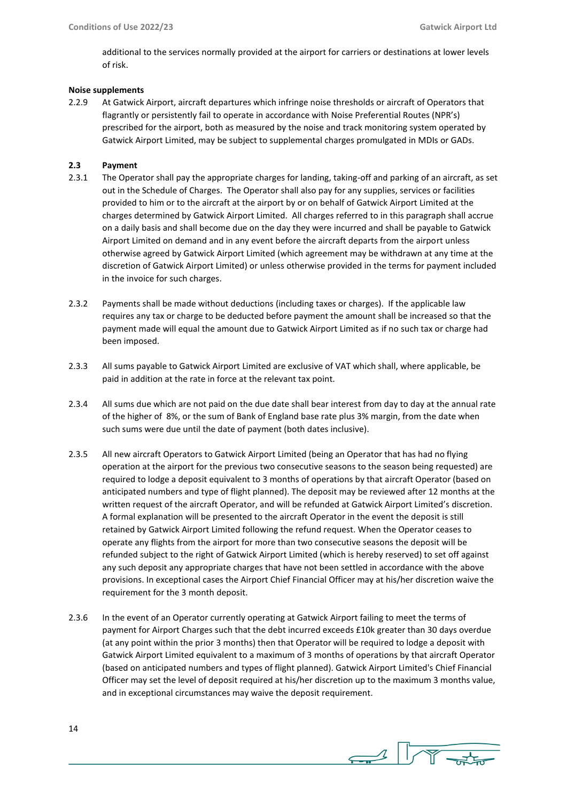additional to the services normally provided at the airport for carriers or destinations at lower levels of risk.

## **Noise supplements**

2.2.9 At Gatwick Airport, aircraft departures which infringe noise thresholds or aircraft of Operators that flagrantly or persistently fail to operate in accordance with Noise Preferential Routes (NPR's) prescribed for the airport, both as measured by the noise and track monitoring system operated by Gatwick Airport Limited, may be subject to supplemental charges promulgated in MDIs or GADs.

## **2.3 Payment**

- 2.3.1 The Operator shall pay the appropriate charges for landing, taking-off and parking of an aircraft, as set out in the Schedule of Charges. The Operator shall also pay for any supplies, services or facilities provided to him or to the aircraft at the airport by or on behalf of Gatwick Airport Limited at the charges determined by Gatwick Airport Limited. All charges referred to in this paragraph shall accrue on a daily basis and shall become due on the day they were incurred and shall be payable to Gatwick Airport Limited on demand and in any event before the aircraft departs from the airport unless otherwise agreed by Gatwick Airport Limited (which agreement may be withdrawn at any time at the discretion of Gatwick Airport Limited) or unless otherwise provided in the terms for payment included in the invoice for such charges.
- 2.3.2 Payments shall be made without deductions (including taxes or charges). If the applicable law requires any tax or charge to be deducted before payment the amount shall be increased so that the payment made will equal the amount due to Gatwick Airport Limited as if no such tax or charge had been imposed.
- 2.3.3 All sums payable to Gatwick Airport Limited are exclusive of VAT which shall, where applicable, be paid in addition at the rate in force at the relevant tax point.
- 2.3.4 All sums due which are not paid on the due date shall bear interest from day to day at the annual rate of the higher of 8%, or the sum of Bank of England base rate plus 3% margin, from the date when such sums were due until the date of payment (both dates inclusive).
- 2.3.5 All new aircraft Operators to Gatwick Airport Limited (being an Operator that has had no flying operation at the airport for the previous two consecutive seasons to the season being requested) are required to lodge a deposit equivalent to 3 months of operations by that aircraft Operator (based on anticipated numbers and type of flight planned). The deposit may be reviewed after 12 months at the written request of the aircraft Operator, and will be refunded at Gatwick Airport Limited's discretion. A formal explanation will be presented to the aircraft Operator in the event the deposit is still retained by Gatwick Airport Limited following the refund request. When the Operator ceases to operate any flights from the airport for more than two consecutive seasons the deposit will be refunded subject to the right of Gatwick Airport Limited (which is hereby reserved) to set off against any such deposit any appropriate charges that have not been settled in accordance with the above provisions. In exceptional cases the Airport Chief Financial Officer may at his/her discretion waive the requirement for the 3 month deposit.
- 2.3.6 In the event of an Operator currently operating at Gatwick Airport failing to meet the terms of payment for Airport Charges such that the debt incurred exceeds £10k greater than 30 days overdue (at any point within the prior 3 months) then that Operator will be required to lodge a deposit with Gatwick Airport Limited equivalent to a maximum of 3 months of operations by that aircraft Operator (based on anticipated numbers and types of flight planned). Gatwick Airport Limited's Chief Financial Officer may set the level of deposit required at his/her discretion up to the maximum 3 months value, and in exceptional circumstances may waive the deposit requirement.

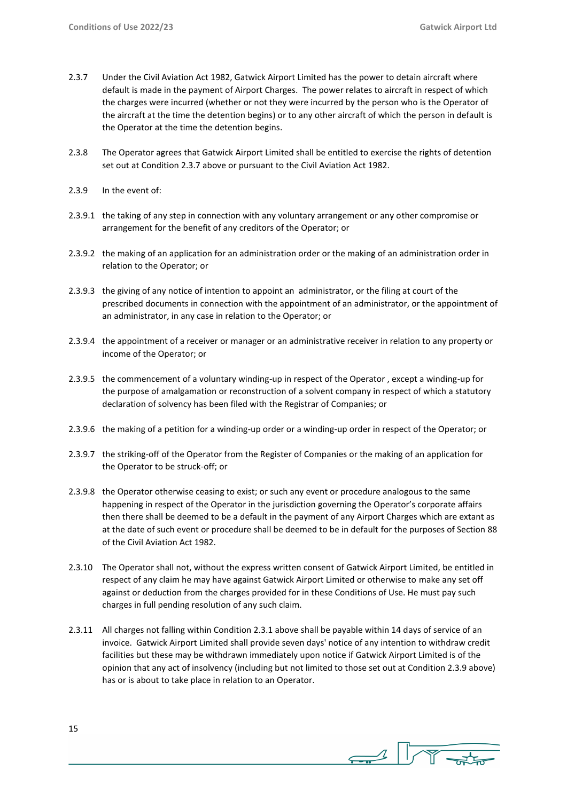- 2.3.7 Under the Civil Aviation Act 1982, Gatwick Airport Limited has the power to detain aircraft where default is made in the payment of Airport Charges. The power relates to aircraft in respect of which the charges were incurred (whether or not they were incurred by the person who is the Operator of the aircraft at the time the detention begins) or to any other aircraft of which the person in default is the Operator at the time the detention begins.
- 2.3.8 The Operator agrees that Gatwick Airport Limited shall be entitled to exercise the rights of detention set out at Condition 2.3.7 above or pursuant to the Civil Aviation Act 1982.
- 2.3.9 In the event of:
- 2.3.9.1 the taking of any step in connection with any voluntary arrangement or any other compromise or arrangement for the benefit of any creditors of the Operator; or
- 2.3.9.2 the making of an application for an administration order or the making of an administration order in relation to the Operator; or
- 2.3.9.3 the giving of any notice of intention to appoint an administrator, or the filing at court of the prescribed documents in connection with the appointment of an administrator, or the appointment of an administrator, in any case in relation to the Operator; or
- 2.3.9.4 the appointment of a receiver or manager or an administrative receiver in relation to any property or income of the Operator; or
- 2.3.9.5 the commencement of a voluntary winding-up in respect of the Operator , except a winding-up for the purpose of amalgamation or reconstruction of a solvent company in respect of which a statutory declaration of solvency has been filed with the Registrar of Companies; or
- 2.3.9.6 the making of a petition for a winding-up order or a winding-up order in respect of the Operator; or
- 2.3.9.7 the striking-off of the Operator from the Register of Companies or the making of an application for the Operator to be struck-off; or
- 2.3.9.8 the Operator otherwise ceasing to exist; or such any event or procedure analogous to the same happening in respect of the Operator in the jurisdiction governing the Operator's corporate affairs then there shall be deemed to be a default in the payment of any Airport Charges which are extant as at the date of such event or procedure shall be deemed to be in default for the purposes of Section 88 of the Civil Aviation Act 1982.
- 2.3.10 The Operator shall not, without the express written consent of Gatwick Airport Limited, be entitled in respect of any claim he may have against Gatwick Airport Limited or otherwise to make any set off against or deduction from the charges provided for in these Conditions of Use. He must pay such charges in full pending resolution of any such claim.
- 2.3.11 All charges not falling within Condition 2.3.1 above shall be payable within 14 days of service of an invoice. Gatwick Airport Limited shall provide seven days' notice of any intention to withdraw credit facilities but these may be withdrawn immediately upon notice if Gatwick Airport Limited is of the opinion that any act of insolvency (including but not limited to those set out at Condition 2.3.9 above) has or is about to take place in relation to an Operator.

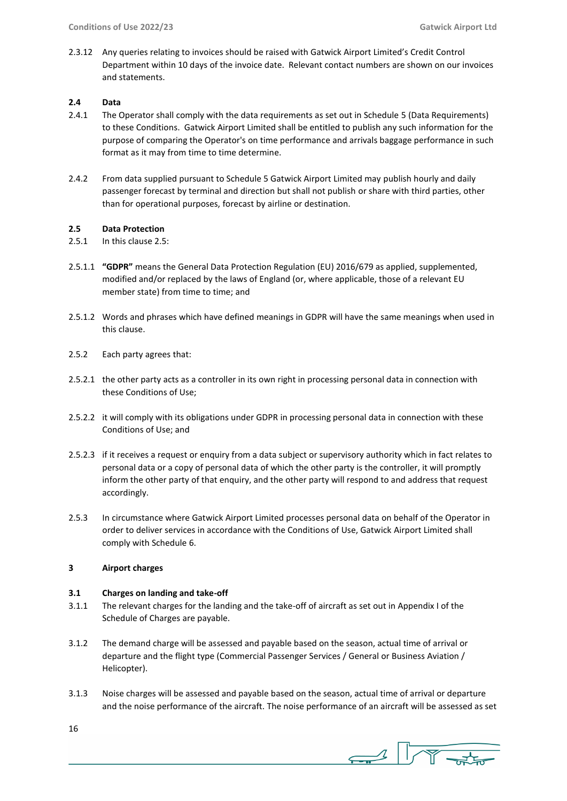2.3.12 Any queries relating to invoices should be raised with Gatwick Airport Limited's Credit Control Department within 10 days of the invoice date. Relevant contact numbers are shown on our invoices and statements.

## **2.4 Data**

- 2.4.1 The Operator shall comply with the data requirements as set out in Schedule 5 (Data Requirements) to these Conditions. Gatwick Airport Limited shall be entitled to publish any such information for the purpose of comparing the Operator's on time performance and arrivals baggage performance in such format as it may from time to time determine.
- 2.4.2 From data supplied pursuant to Schedule 5 Gatwick Airport Limited may publish hourly and daily passenger forecast by terminal and direction but shall not publish or share with third parties, other than for operational purposes, forecast by airline or destination.

## **2.5 Data Protection**

- 2.5.1 In this clause 2.5:
- 2.5.1.1 **"GDPR"** means the General Data Protection Regulation (EU) 2016/679 as applied, supplemented, modified and/or replaced by the laws of England (or, where applicable, those of a relevant EU member state) from time to time; and
- 2.5.1.2 Words and phrases which have defined meanings in GDPR will have the same meanings when used in this clause.
- 2.5.2 Each party agrees that:
- 2.5.2.1 the other party acts as a controller in its own right in processing personal data in connection with these Conditions of Use;
- 2.5.2.2 it will comply with its obligations under GDPR in processing personal data in connection with these Conditions of Use; and
- 2.5.2.3 if it receives a request or enquiry from a data subject or supervisory authority which in fact relates to personal data or a copy of personal data of which the other party is the controller, it will promptly inform the other party of that enquiry, and the other party will respond to and address that request accordingly.
- 2.5.3 In circumstance where Gatwick Airport Limited processes personal data on behalf of the Operator in order to deliver services in accordance with the Conditions of Use, Gatwick Airport Limited shall comply with Schedule 6.

## **3 Airport charges**

## **3.1 Charges on landing and take-off**

- 3.1.1 The relevant charges for the landing and the take-off of aircraft as set out in Appendix I of the Schedule of Charges are payable.
- 3.1.2 The demand charge will be assessed and payable based on the season, actual time of arrival or departure and the flight type (Commercial Passenger Services / General or Business Aviation / Helicopter).
- 3.1.3 Noise charges will be assessed and payable based on the season, actual time of arrival or departure and the noise performance of the aircraft. The noise performance of an aircraft will be assessed as set

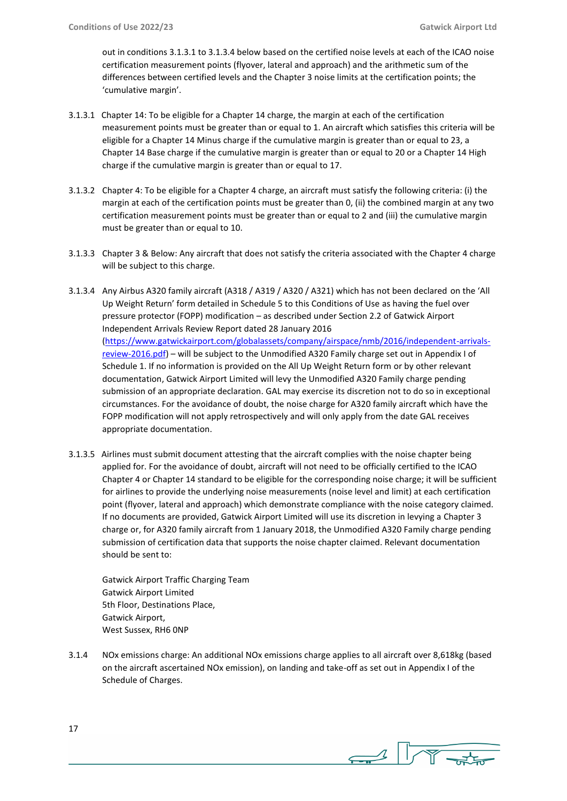out in conditions 3.1.3.1 to 3.1.3.4 below based on the certified noise levels at each of the ICAO noise certification measurement points (flyover, lateral and approach) and the arithmetic sum of the differences between certified levels and the Chapter 3 noise limits at the certification points; the 'cumulative margin'.

- 3.1.3.1 Chapter 14: To be eligible for a Chapter 14 charge, the margin at each of the certification measurement points must be greater than or equal to 1. An aircraft which satisfies this criteria will be eligible for a Chapter 14 Minus charge if the cumulative margin is greater than or equal to 23, a Chapter 14 Base charge if the cumulative margin is greater than or equal to 20 or a Chapter 14 High charge if the cumulative margin is greater than or equal to 17.
- 3.1.3.2 Chapter 4: To be eligible for a Chapter 4 charge, an aircraft must satisfy the following criteria: (i) the margin at each of the certification points must be greater than 0, (ii) the combined margin at any two certification measurement points must be greater than or equal to 2 and (iii) the cumulative margin must be greater than or equal to 10.
- 3.1.3.3 Chapter 3 & Below: Any aircraft that does not satisfy the criteria associated with the Chapter 4 charge will be subject to this charge.
- 3.1.3.4 Any Airbus A320 family aircraft (A318 / A319 / A320 / A321) which has not been declared on the 'All Up Weight Return' form detailed in Schedule 5 to this Conditions of Use as having the fuel over pressure protector (FOPP) modification – as described under Section 2.2 of Gatwick Airport Independent Arrivals Review Report dated 28 January 2016 [\(https://www.gatwickairport.com/globalassets/company/airspace/nmb/2016/independent-arrivals](https://www.gatwickairport.com/globalassets/company/airspace/nmb/2016/independent-arrivals-review-2016.pdf)[review-2016.pdf\)](https://www.gatwickairport.com/globalassets/company/airspace/nmb/2016/independent-arrivals-review-2016.pdf) – will be subject to the Unmodified A320 Family charge set out in Appendix I of Schedule 1. If no information is provided on the All Up Weight Return form or by other relevant documentation, Gatwick Airport Limited will levy the Unmodified A320 Family charge pending submission of an appropriate declaration. GAL may exercise its discretion not to do so in exceptional circumstances. For the avoidance of doubt, the noise charge for A320 family aircraft which have the FOPP modification will not apply retrospectively and will only apply from the date GAL receives appropriate documentation.
- 3.1.3.5 Airlines must submit document attesting that the aircraft complies with the noise chapter being applied for. For the avoidance of doubt, aircraft will not need to be officially certified to the ICAO Chapter 4 or Chapter 14 standard to be eligible for the corresponding noise charge; it will be sufficient for airlines to provide the underlying noise measurements (noise level and limit) at each certification point (flyover, lateral and approach) which demonstrate compliance with the noise category claimed. If no documents are provided, Gatwick Airport Limited will use its discretion in levying a Chapter 3 charge or, for A320 family aircraft from 1 January 2018, the Unmodified A320 Family charge pending submission of certification data that supports the noise chapter claimed. Relevant documentation should be sent to:

Gatwick Airport Traffic Charging Team Gatwick Airport Limited 5th Floor, Destinations Place, Gatwick Airport, West Sussex, RH6 0NP

3.1.4 NOx emissions charge: An additional NOx emissions charge applies to all aircraft over 8,618kg (based on the aircraft ascertained NOx emission), on landing and take-off as set out in Appendix I of the Schedule of Charges.

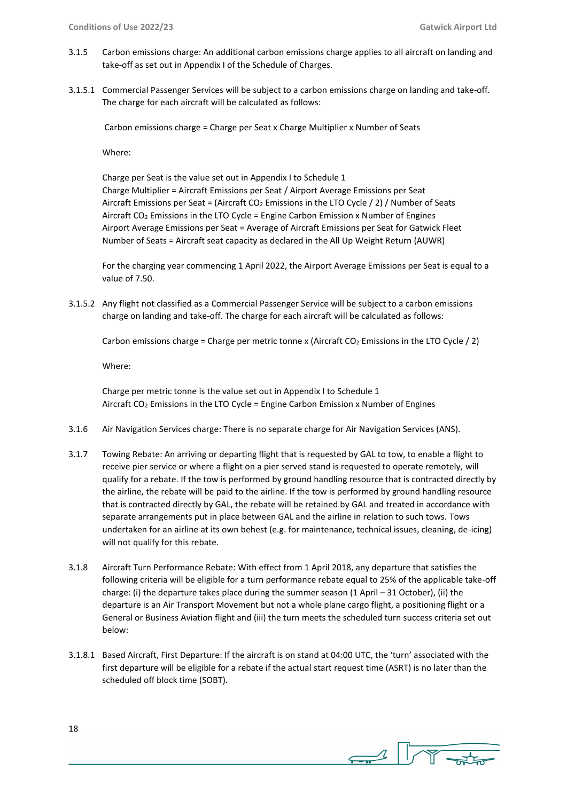- 3.1.5 Carbon emissions charge: An additional carbon emissions charge applies to all aircraft on landing and take-off as set out in Appendix I of the Schedule of Charges.
- 3.1.5.1 Commercial Passenger Services will be subject to a carbon emissions charge on landing and take-off. The charge for each aircraft will be calculated as follows:

Carbon emissions charge = Charge per Seat x Charge Multiplier x Number of Seats

Where:

Charge per Seat is the value set out in Appendix I to Schedule 1 Charge Multiplier = Aircraft Emissions per Seat / Airport Average Emissions per Seat Aircraft Emissions per Seat = (Aircraft CO<sub>2</sub> Emissions in the LTO Cycle  $/$  2)  $/$  Number of Seats Aircraft CO<sup>2</sup> Emissions in the LTO Cycle = Engine Carbon Emission x Number of Engines Airport Average Emissions per Seat = Average of Aircraft Emissions per Seat for Gatwick Fleet Number of Seats = Aircraft seat capacity as declared in the All Up Weight Return (AUWR)

For the charging year commencing 1 April 2022, the Airport Average Emissions per Seat is equal to a value of 7.50.

3.1.5.2 Any flight not classified as a Commercial Passenger Service will be subject to a carbon emissions charge on landing and take-off. The charge for each aircraft will be calculated as follows:

Carbon emissions charge = Charge per metric tonne x (Aircraft  $CO<sub>2</sub>$  Emissions in the LTO Cycle / 2)

Where:

Charge per metric tonne is the value set out in Appendix I to Schedule 1 Aircraft CO<sup>2</sup> Emissions in the LTO Cycle = Engine Carbon Emission x Number of Engines

- 3.1.6 Air Navigation Services charge: There is no separate charge for Air Navigation Services (ANS).
- 3.1.7 Towing Rebate: An arriving or departing flight that is requested by GAL to tow, to enable a flight to receive pier service or where a flight on a pier served stand is requested to operate remotely, will qualify for a rebate. If the tow is performed by ground handling resource that is contracted directly by the airline, the rebate will be paid to the airline. If the tow is performed by ground handling resource that is contracted directly by GAL, the rebate will be retained by GAL and treated in accordance with separate arrangements put in place between GAL and the airline in relation to such tows. Tows undertaken for an airline at its own behest (e.g. for maintenance, technical issues, cleaning, de-icing) will not qualify for this rebate.
- 3.1.8 Aircraft Turn Performance Rebate: With effect from 1 April 2018, any departure that satisfies the following criteria will be eligible for a turn performance rebate equal to 25% of the applicable take-off charge: (i) the departure takes place during the summer season (1 April – 31 October), (ii) the departure is an Air Transport Movement but not a whole plane cargo flight, a positioning flight or a General or Business Aviation flight and (iii) the turn meets the scheduled turn success criteria set out below:
- 3.1.8.1 Based Aircraft, First Departure: If the aircraft is on stand at 04:00 UTC, the 'turn' associated with the first departure will be eligible for a rebate if the actual start request time (ASRT) is no later than the scheduled off block time (SOBT).

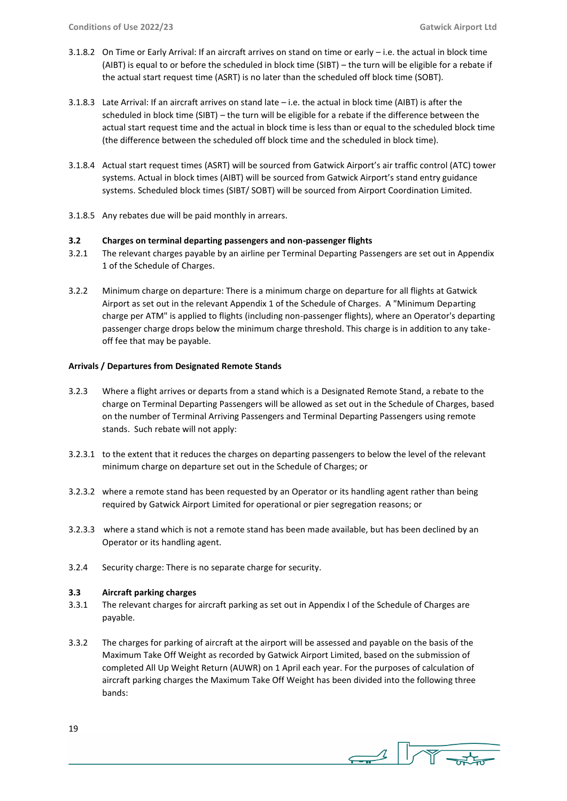- 3.1.8.2 On Time or Early Arrival: If an aircraft arrives on stand on time or early i.e. the actual in block time (AIBT) is equal to or before the scheduled in block time (SIBT) – the turn will be eligible for a rebate if the actual start request time (ASRT) is no later than the scheduled off block time (SOBT).
- 3.1.8.3 Late Arrival: If an aircraft arrives on stand late i.e. the actual in block time (AIBT) is after the scheduled in block time (SIBT) – the turn will be eligible for a rebate if the difference between the actual start request time and the actual in block time is less than or equal to the scheduled block time (the difference between the scheduled off block time and the scheduled in block time).
- 3.1.8.4 Actual start request times (ASRT) will be sourced from Gatwick Airport's air traffic control (ATC) tower systems. Actual in block times (AIBT) will be sourced from Gatwick Airport's stand entry guidance systems. Scheduled block times (SIBT/ SOBT) will be sourced from Airport Coordination Limited.
- 3.1.8.5 Any rebates due will be paid monthly in arrears.

## **3.2 Charges on terminal departing passengers and non-passenger flights**

- 3.2.1 The relevant charges payable by an airline per Terminal Departing Passengers are set out in Appendix 1 of the Schedule of Charges.
- 3.2.2 Minimum charge on departure: There is a minimum charge on departure for all flights at Gatwick Airport as set out in the relevant Appendix 1 of the Schedule of Charges. A "Minimum Departing charge per ATM" is applied to flights (including non-passenger flights), where an Operator's departing passenger charge drops below the minimum charge threshold. This charge is in addition to any takeoff fee that may be payable.

## **Arrivals / Departures from Designated Remote Stands**

- 3.2.3 Where a flight arrives or departs from a stand which is a Designated Remote Stand, a rebate to the charge on Terminal Departing Passengers will be allowed as set out in the Schedule of Charges, based on the number of Terminal Arriving Passengers and Terminal Departing Passengers using remote stands. Such rebate will not apply:
- 3.2.3.1 to the extent that it reduces the charges on departing passengers to below the level of the relevant minimum charge on departure set out in the Schedule of Charges; or
- 3.2.3.2 where a remote stand has been requested by an Operator or its handling agent rather than being required by Gatwick Airport Limited for operational or pier segregation reasons; or
- 3.2.3.3 where a stand which is not a remote stand has been made available, but has been declined by an Operator or its handling agent.
- 3.2.4 Security charge: There is no separate charge for security.

## **3.3 Aircraft parking charges**

- 3.3.1 The relevant charges for aircraft parking as set out in Appendix I of the Schedule of Charges are payable.
- 3.3.2 The charges for parking of aircraft at the airport will be assessed and payable on the basis of the Maximum Take Off Weight as recorded by Gatwick Airport Limited, based on the submission of completed All Up Weight Return (AUWR) on 1 April each year. For the purposes of calculation of aircraft parking charges the Maximum Take Off Weight has been divided into the following three bands:

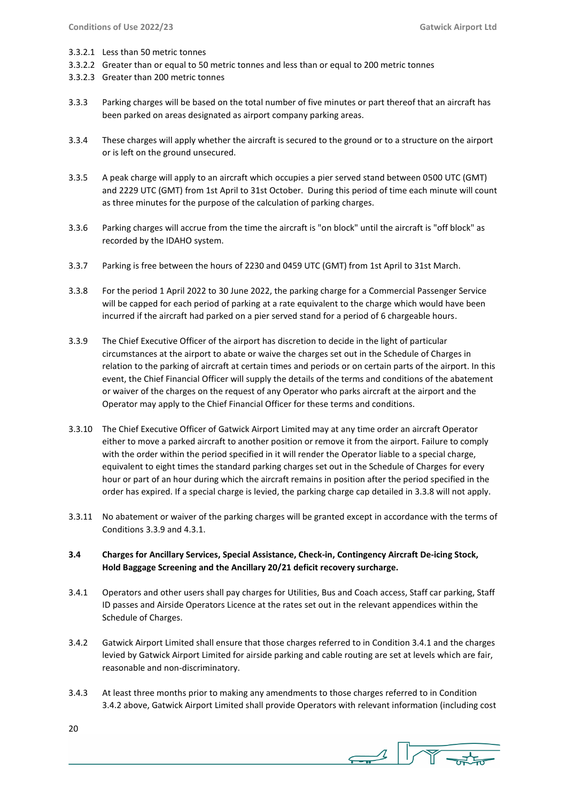- 3.3.2.1 Less than 50 metric tonnes
- 3.3.2.2 Greater than or equal to 50 metric tonnes and less than or equal to 200 metric tonnes
- 3.3.2.3 Greater than 200 metric tonnes
- 3.3.3 Parking charges will be based on the total number of five minutes or part thereof that an aircraft has been parked on areas designated as airport company parking areas.
- 3.3.4 These charges will apply whether the aircraft is secured to the ground or to a structure on the airport or is left on the ground unsecured.
- 3.3.5 A peak charge will apply to an aircraft which occupies a pier served stand between 0500 UTC (GMT) and 2229 UTC (GMT) from 1st April to 31st October. During this period of time each minute will count as three minutes for the purpose of the calculation of parking charges.
- 3.3.6 Parking charges will accrue from the time the aircraft is "on block" until the aircraft is "off block" as recorded by the IDAHO system.
- 3.3.7 Parking is free between the hours of 2230 and 0459 UTC (GMT) from 1st April to 31st March.
- 3.3.8 For the period 1 April 2022 to 30 June 2022, the parking charge for a Commercial Passenger Service will be capped for each period of parking at a rate equivalent to the charge which would have been incurred if the aircraft had parked on a pier served stand for a period of 6 chargeable hours.
- 3.3.9 The Chief Executive Officer of the airport has discretion to decide in the light of particular circumstances at the airport to abate or waive the charges set out in the Schedule of Charges in relation to the parking of aircraft at certain times and periods or on certain parts of the airport. In this event, the Chief Financial Officer will supply the details of the terms and conditions of the abatement or waiver of the charges on the request of any Operator who parks aircraft at the airport and the Operator may apply to the Chief Financial Officer for these terms and conditions.
- 3.3.10 The Chief Executive Officer of Gatwick Airport Limited may at any time order an aircraft Operator either to move a parked aircraft to another position or remove it from the airport. Failure to comply with the order within the period specified in it will render the Operator liable to a special charge, equivalent to eight times the standard parking charges set out in the Schedule of Charges for every hour or part of an hour during which the aircraft remains in position after the period specified in the order has expired. If a special charge is levied, the parking charge cap detailed in 3.3.8 will not apply.
- 3.3.11 No abatement or waiver of the parking charges will be granted except in accordance with the terms of Conditions 3.3.9 and 4.3.1.
- **3.4 Charges for Ancillary Services, Special Assistance, Check-in, Contingency Aircraft De-icing Stock, Hold Baggage Screening and the Ancillary 20/21 deficit recovery surcharge.**
- 3.4.1 Operators and other users shall pay charges for Utilities, Bus and Coach access, Staff car parking, Staff ID passes and Airside Operators Licence at the rates set out in the relevant appendices within the Schedule of Charges.
- 3.4.2 Gatwick Airport Limited shall ensure that those charges referred to in Condition 3.4.1 and the charges levied by Gatwick Airport Limited for airside parking and cable routing are set at levels which are fair, reasonable and non-discriminatory.
- 3.4.3 At least three months prior to making any amendments to those charges referred to in Condition 3.4.2 above, Gatwick Airport Limited shall provide Operators with relevant information (including cost

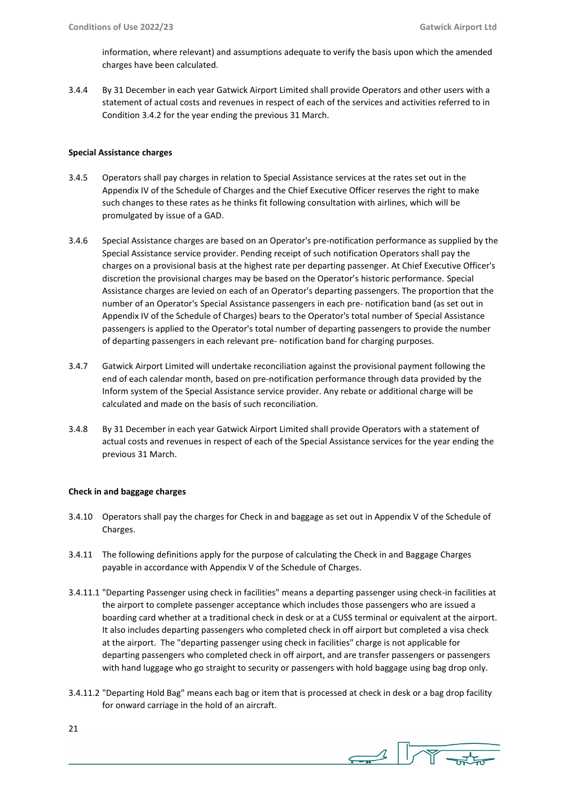information, where relevant) and assumptions adequate to verify the basis upon which the amended charges have been calculated.

3.4.4 By 31 December in each year Gatwick Airport Limited shall provide Operators and other users with a statement of actual costs and revenues in respect of each of the services and activities referred to in Condition 3.4.2 for the year ending the previous 31 March.

## **Special Assistance charges**

- 3.4.5 Operators shall pay charges in relation to Special Assistance services at the rates set out in the Appendix IV of the Schedule of Charges and the Chief Executive Officer reserves the right to make such changes to these rates as he thinks fit following consultation with airlines, which will be promulgated by issue of a GAD.
- 3.4.6 Special Assistance charges are based on an Operator's pre-notification performance as supplied by the Special Assistance service provider. Pending receipt of such notification Operators shall pay the charges on a provisional basis at the highest rate per departing passenger. At Chief Executive Officer's discretion the provisional charges may be based on the Operator's historic performance. Special Assistance charges are levied on each of an Operator's departing passengers. The proportion that the number of an Operator's Special Assistance passengers in each pre- notification band (as set out in Appendix IV of the Schedule of Charges) bears to the Operator's total number of Special Assistance passengers is applied to the Operator's total number of departing passengers to provide the number of departing passengers in each relevant pre- notification band for charging purposes.
- 3.4.7 Gatwick Airport Limited will undertake reconciliation against the provisional payment following the end of each calendar month, based on pre-notification performance through data provided by the Inform system of the Special Assistance service provider. Any rebate or additional charge will be calculated and made on the basis of such reconciliation.
- 3.4.8 By 31 December in each year Gatwick Airport Limited shall provide Operators with a statement of actual costs and revenues in respect of each of the Special Assistance services for the year ending the previous 31 March.

## **Check in and baggage charges**

- 3.4.10 Operators shall pay the charges for Check in and baggage as set out in Appendix V of the Schedule of Charges.
- 3.4.11 The following definitions apply for the purpose of calculating the Check in and Baggage Charges payable in accordance with Appendix V of the Schedule of Charges.
- 3.4.11.1 "Departing Passenger using check in facilities" means a departing passenger using check-in facilities at the airport to complete passenger acceptance which includes those passengers who are issued a boarding card whether at a traditional check in desk or at a CUSS terminal or equivalent at the airport. It also includes departing passengers who completed check in off airport but completed a visa check at the airport. The "departing passenger using check in facilities" charge is not applicable for departing passengers who completed check in off airport, and are transfer passengers or passengers with hand luggage who go straight to security or passengers with hold baggage using bag drop only.
- 3.4.11.2 "Departing Hold Bag" means each bag or item that is processed at check in desk or a bag drop facility for onward carriage in the hold of an aircraft.

 $\frac{1}{\sqrt{1-\frac{1}{2}}}\sqrt{\frac{1}{\sqrt{1-\frac{1}{2}}}}$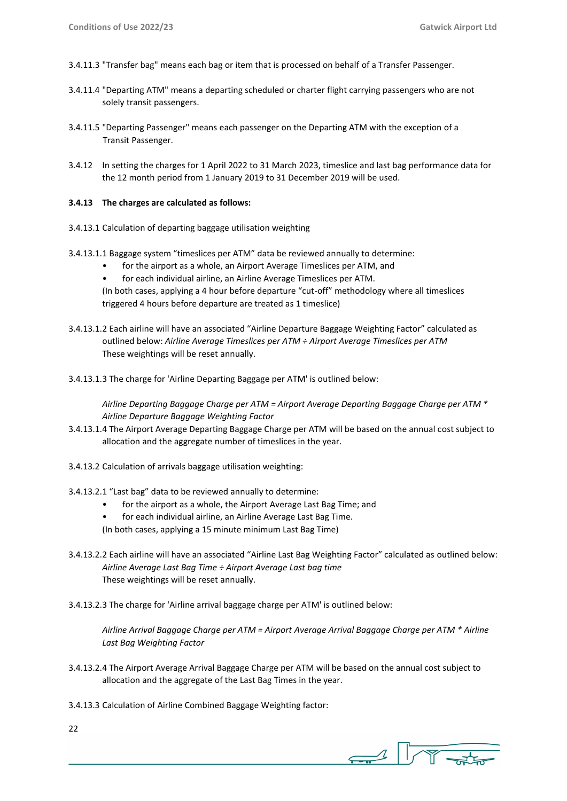- 3.4.11.3 "Transfer bag" means each bag or item that is processed on behalf of a Transfer Passenger.
- 3.4.11.4 "Departing ATM" means a departing scheduled or charter flight carrying passengers who are not solely transit passengers.
- 3.4.11.5 "Departing Passenger" means each passenger on the Departing ATM with the exception of a Transit Passenger.
- 3.4.12 In setting the charges for 1 April 2022 to 31 March 2023, timeslice and last bag performance data for the 12 month period from 1 January 2019 to 31 December 2019 will be used.

## **3.4.13 The charges are calculated as follows:**

- 3.4.13.1 Calculation of departing baggage utilisation weighting
- 3.4.13.1.1 Baggage system "timeslices per ATM" data be reviewed annually to determine:
	- for the airport as a whole, an Airport Average Timeslices per ATM, and
	- for each individual airline, an Airline Average Timeslices per ATM.

(In both cases, applying a 4 hour before departure "cut-off" methodology where all timeslices triggered 4 hours before departure are treated as 1 timeslice)

- 3.4.13.1.2 Each airline will have an associated "Airline Departure Baggage Weighting Factor" calculated as outlined below: *Airline Average Timeslices per ATM ÷ Airport Average Timeslices per ATM* These weightings will be reset annually.
- 3.4.13.1.3 The charge for 'Airline Departing Baggage per ATM' is outlined below:

*Airline Departing Baggage Charge per ATM = Airport Average Departing Baggage Charge per ATM \* Airline Departure Baggage Weighting Factor*

- 3.4.13.1.4 The Airport Average Departing Baggage Charge per ATM will be based on the annual cost subject to allocation and the aggregate number of timeslices in the year.
- 3.4.13.2 Calculation of arrivals baggage utilisation weighting:
- 3.4.13.2.1 "Last bag" data to be reviewed annually to determine:
	- for the airport as a whole, the Airport Average Last Bag Time; and
	- for each individual airline, an Airline Average Last Bag Time.
	- (In both cases, applying a 15 minute minimum Last Bag Time)
- 3.4.13.2.2 Each airline will have an associated "Airline Last Bag Weighting Factor" calculated as outlined below: *Airline Average Last Bag Time ÷ Airport Average Last bag time* These weightings will be reset annually.
- 3.4.13.2.3 The charge for 'Airline arrival baggage charge per ATM' is outlined below:

*Airline Arrival Baggage Charge per ATM = Airport Average Arrival Baggage Charge per ATM \* Airline Last Bag Weighting Factor*

- 3.4.13.2.4 The Airport Average Arrival Baggage Charge per ATM will be based on the annual cost subject to allocation and the aggregate of the Last Bag Times in the year.
- 3.4.13.3 Calculation of Airline Combined Baggage Weighting factor:
- 22

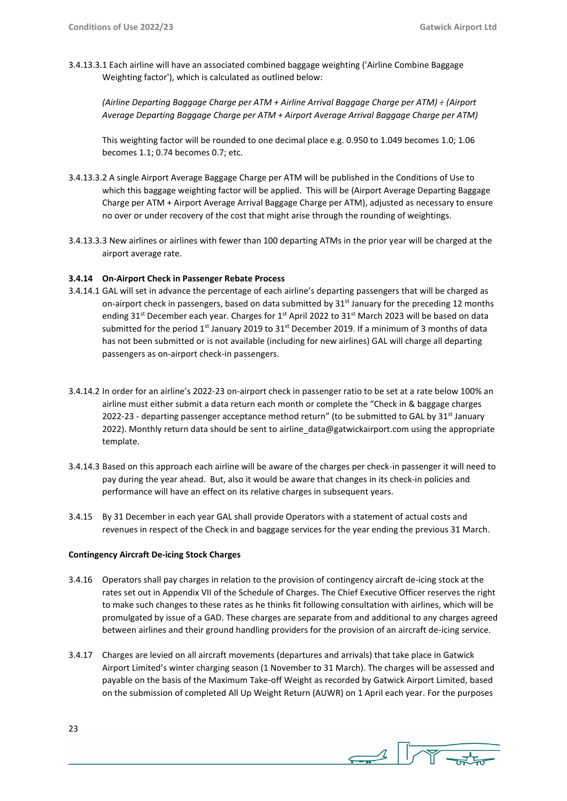3.4.13.3.1 Each airline will have an associated combined baggage weighting ('Airline Combine Baggage Weighting factor'), which is calculated as outlined below:

*(Airline Departing Baggage Charge per ATM + Airline Arrival Baggage Charge per ATM) ÷ (Airport Average Departing Baggage Charge per ATM + Airport Average Arrival Baggage Charge per ATM)*

This weighting factor will be rounded to one decimal place e.g. 0.950 to 1.049 becomes 1.0; 1.06 becomes 1.1; 0.74 becomes 0.7; etc.

- 3.4.13.3.2 A single Airport Average Baggage Charge per ATM will be published in the Conditions of Use to which this baggage weighting factor will be applied. This will be (Airport Average Departing Baggage Charge per ATM + Airport Average Arrival Baggage Charge per ATM), adjusted as necessary to ensure no over or under recovery of the cost that might arise through the rounding of weightings.
- 3.4.13.3.3 New airlines or airlines with fewer than 100 departing ATMs in the prior year will be charged at the airport average rate.

## **3.4.14 On-Airport Check in Passenger Rebate Process**

- 3.4.14.1 GAL will set in advance the percentage of each airline's departing passengers that will be charged as on-airport check in passengers, based on data submitted by  $31<sup>st</sup>$  January for the preceding 12 months ending 31<sup>st</sup> December each year. Charges for 1<sup>st</sup> April 2022 to 31<sup>st</sup> March 2023 will be based on data submitted for the period 1<sup>st</sup> January 2019 to 31<sup>st</sup> December 2019. If a minimum of 3 months of data has not been submitted or is not available (including for new airlines) GAL will charge all departing passengers as on-airport check-in passengers.
- 3.4.14.2 In order for an airline's 2022-23 on-airport check in passenger ratio to be set at a rate below 100% an airline must either submit a data return each month or complete the "Check in & baggage charges 2022-23 - departing passenger acceptance method return" (to be submitted to GAL by  $31<sup>st</sup>$  January 2022). Monthly return data should be sent to airline data@gatwickairport.com using the appropriate template.
- 3.4.14.3 Based on this approach each airline will be aware of the charges per check-in passenger it will need to pay during the year ahead. But, also it would be aware that changes in its check-in policies and performance will have an effect on its relative charges in subsequent years.
- 3.4.15 By 31 December in each year GAL shall provide Operators with a statement of actual costs and revenues in respect of the Check in and baggage services for the year ending the previous 31 March.

## **Contingency Aircraft De-icing Stock Charges**

- 3.4.16 Operators shall pay charges in relation to the provision of contingency aircraft de-icing stock at the rates set out in Appendix VII of the Schedule of Charges. The Chief Executive Officer reserves the right to make such changes to these rates as he thinks fit following consultation with airlines, which will be promulgated by issue of a GAD. These charges are separate from and additional to any charges agreed between airlines and their ground handling providers for the provision of an aircraft de-icing service.
- 3.4.17 Charges are levied on all aircraft movements (departures and arrivals) that take place in Gatwick Airport Limited's winter charging season (1 November to 31 March). The charges will be assessed and payable on the basis of the Maximum Take-off Weight as recorded by Gatwick Airport Limited, based on the submission of completed All Up Weight Return (AUWR) on 1 April each year. For the purposes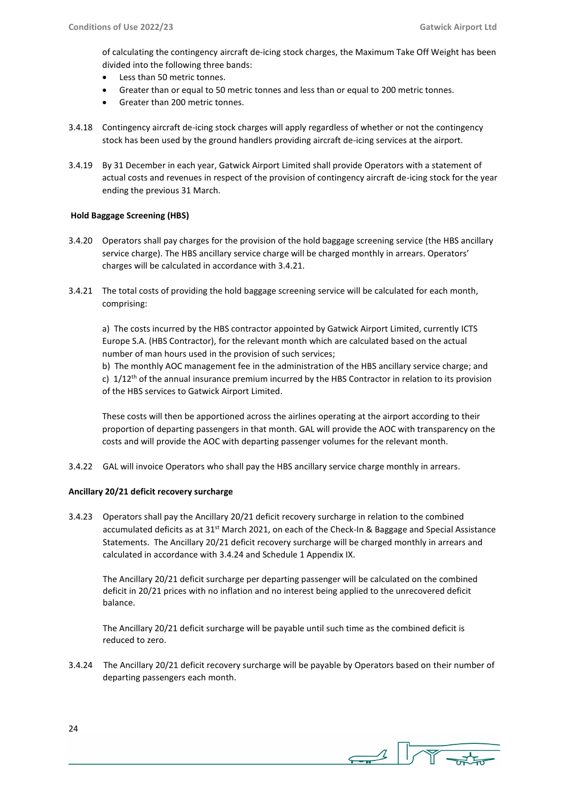of calculating the contingency aircraft de-icing stock charges, the Maximum Take Off Weight has been divided into the following three bands:

- Less than 50 metric tonnes.
- Greater than or equal to 50 metric tonnes and less than or equal to 200 metric tonnes.
- Greater than 200 metric tonnes.
- 3.4.18 Contingency aircraft de-icing stock charges will apply regardless of whether or not the contingency stock has been used by the ground handlers providing aircraft de-icing services at the airport.
- 3.4.19 By 31 December in each year, Gatwick Airport Limited shall provide Operators with a statement of actual costs and revenues in respect of the provision of contingency aircraft de-icing stock for the year ending the previous 31 March.

## **Hold Baggage Screening (HBS)**

- 3.4.20 Operators shall pay charges for the provision of the hold baggage screening service (the HBS ancillary service charge). The HBS ancillary service charge will be charged monthly in arrears. Operators' charges will be calculated in accordance with 3.4.21.
- 3.4.21 The total costs of providing the hold baggage screening service will be calculated for each month, comprising:

a) The costs incurred by the HBS contractor appointed by Gatwick Airport Limited, currently ICTS Europe S.A. (HBS Contractor), for the relevant month which are calculated based on the actual number of man hours used in the provision of such services;

b) The monthly AOC management fee in the administration of the HBS ancillary service charge; and c)  $1/12$ <sup>th</sup> of the annual insurance premium incurred by the HBS Contractor in relation to its provision of the HBS services to Gatwick Airport Limited.

These costs will then be apportioned across the airlines operating at the airport according to their proportion of departing passengers in that month. GAL will provide the AOC with transparency on the costs and will provide the AOC with departing passenger volumes for the relevant month.

3.4.22 GAL will invoice Operators who shall pay the HBS ancillary service charge monthly in arrears.

## **Ancillary 20/21 deficit recovery surcharge**

3.4.23 Operators shall pay the Ancillary 20/21 deficit recovery surcharge in relation to the combined accumulated deficits as at 31<sup>st</sup> March 2021, on each of the Check-In & Baggage and Special Assistance Statements. The Ancillary 20/21 deficit recovery surcharge will be charged monthly in arrears and calculated in accordance with 3.4.24 and Schedule 1 Appendix IX.

The Ancillary 20/21 deficit surcharge per departing passenger will be calculated on the combined deficit in 20/21 prices with no inflation and no interest being applied to the unrecovered deficit balance.

The Ancillary 20/21 deficit surcharge will be payable until such time as the combined deficit is reduced to zero.

3.4.24 The Ancillary 20/21 deficit recovery surcharge will be payable by Operators based on their number of departing passengers each month.

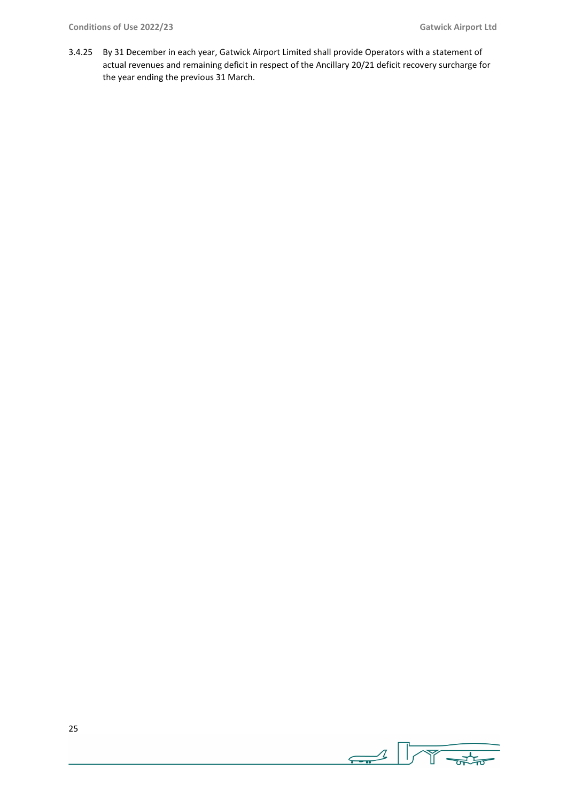3.4.25 By 31 December in each year, Gatwick Airport Limited shall provide Operators with a statement of actual revenues and remaining deficit in respect of the Ancillary 20/21 deficit recovery surcharge for the year ending the previous 31 March.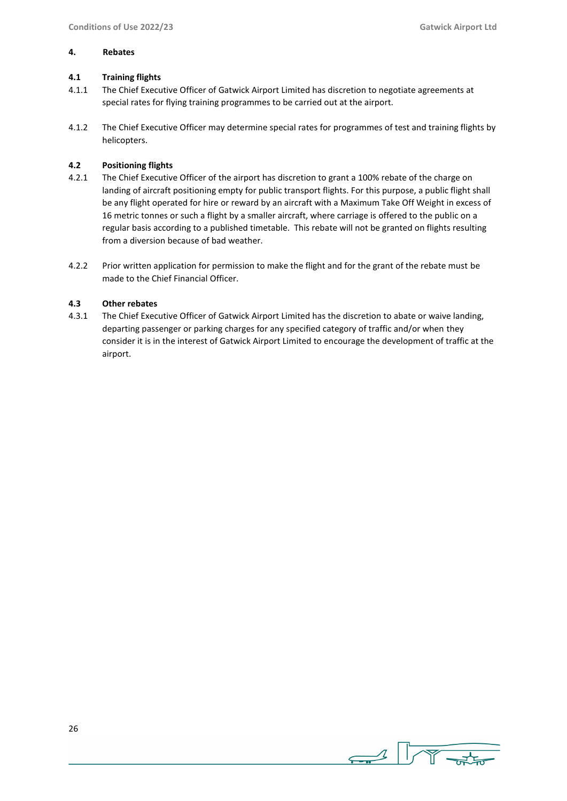#### **4. Rebates**

## **4.1 Training flights**

- 4.1.1 The Chief Executive Officer of Gatwick Airport Limited has discretion to negotiate agreements at special rates for flying training programmes to be carried out at the airport.
- 4.1.2 The Chief Executive Officer may determine special rates for programmes of test and training flights by helicopters.

## **4.2 Positioning flights**

- 4.2.1 The Chief Executive Officer of the airport has discretion to grant a 100% rebate of the charge on landing of aircraft positioning empty for public transport flights. For this purpose, a public flight shall be any flight operated for hire or reward by an aircraft with a Maximum Take Off Weight in excess of 16 metric tonnes or such a flight by a smaller aircraft, where carriage is offered to the public on a regular basis according to a published timetable. This rebate will not be granted on flights resulting from a diversion because of bad weather.
- 4.2.2 Prior written application for permission to make the flight and for the grant of the rebate must be made to the Chief Financial Officer.

#### **4.3 Other rebates**

4.3.1 The Chief Executive Officer of Gatwick Airport Limited has the discretion to abate or waive landing, departing passenger or parking charges for any specified category of traffic and/or when they consider it is in the interest of Gatwick Airport Limited to encourage the development of traffic at the airport.

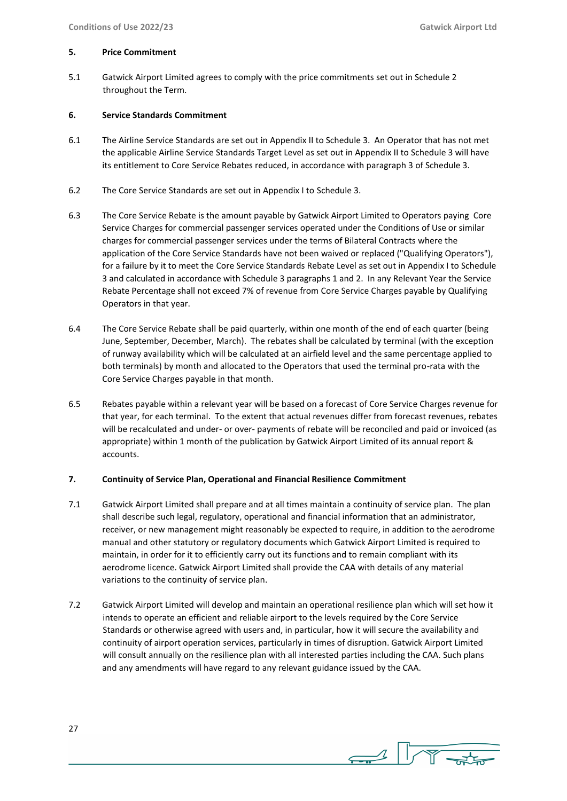#### **5. Price Commitment**

5.1 Gatwick Airport Limited agrees to comply with the price commitments set out in Schedule 2 throughout the Term.

## **6. Service Standards Commitment**

- 6.1 The Airline Service Standards are set out in Appendix II to Schedule 3. An Operator that has not met the applicable Airline Service Standards Target Level as set out in Appendix II to Schedule 3 will have its entitlement to Core Service Rebates reduced, in accordance with paragraph 3 of Schedule 3.
- 6.2 The Core Service Standards are set out in Appendix I to Schedule 3.
- 6.3 The Core Service Rebate is the amount payable by Gatwick Airport Limited to Operators paying Core Service Charges for commercial passenger services operated under the Conditions of Use or similar charges for commercial passenger services under the terms of Bilateral Contracts where the application of the Core Service Standards have not been waived or replaced ("Qualifying Operators"), for a failure by it to meet the Core Service Standards Rebate Level as set out in Appendix I to Schedule 3 and calculated in accordance with Schedule 3 paragraphs 1 and 2. In any Relevant Year the Service Rebate Percentage shall not exceed 7% of revenue from Core Service Charges payable by Qualifying Operators in that year.
- 6.4 The Core Service Rebate shall be paid quarterly, within one month of the end of each quarter (being June, September, December, March). The rebates shall be calculated by terminal (with the exception of runway availability which will be calculated at an airfield level and the same percentage applied to both terminals) by month and allocated to the Operators that used the terminal pro-rata with the Core Service Charges payable in that month.
- 6.5 Rebates payable within a relevant year will be based on a forecast of Core Service Charges revenue for that year, for each terminal. To the extent that actual revenues differ from forecast revenues, rebates will be recalculated and under- or over- payments of rebate will be reconciled and paid or invoiced (as appropriate) within 1 month of the publication by Gatwick Airport Limited of its annual report & accounts.

## **7. Continuity of Service Plan, Operational and Financial Resilience Commitment**

- 7.1 Gatwick Airport Limited shall prepare and at all times maintain a continuity of service plan. The plan shall describe such legal, regulatory, operational and financial information that an administrator, receiver, or new management might reasonably be expected to require, in addition to the aerodrome manual and other statutory or regulatory documents which Gatwick Airport Limited is required to maintain, in order for it to efficiently carry out its functions and to remain compliant with its aerodrome licence. Gatwick Airport Limited shall provide the CAA with details of any material variations to the continuity of service plan.
- 7.2 Gatwick Airport Limited will develop and maintain an operational resilience plan which will set how it intends to operate an efficient and reliable airport to the levels required by the Core Service Standards or otherwise agreed with users and, in particular, how it will secure the availability and continuity of airport operation services, particularly in times of disruption. Gatwick Airport Limited will consult annually on the resilience plan with all interested parties including the CAA. Such plans and any amendments will have regard to any relevant guidance issued by the CAA.

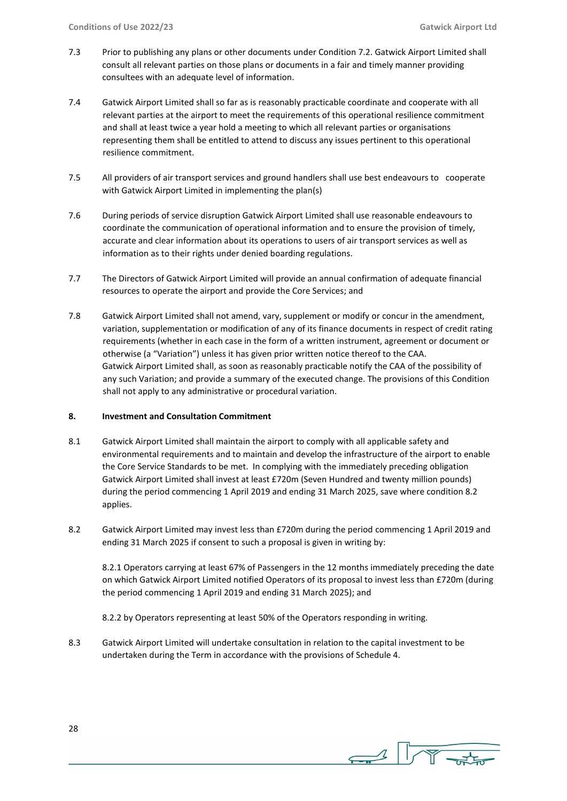- 7.3 Prior to publishing any plans or other documents under Condition 7.2. Gatwick Airport Limited shall consult all relevant parties on those plans or documents in a fair and timely manner providing consultees with an adequate level of information.
- 7.4 Gatwick Airport Limited shall so far as is reasonably practicable coordinate and cooperate with all relevant parties at the airport to meet the requirements of this operational resilience commitment and shall at least twice a year hold a meeting to which all relevant parties or organisations representing them shall be entitled to attend to discuss any issues pertinent to this operational resilience commitment.
- 7.5 All providers of air transport services and ground handlers shall use best endeavours to cooperate with Gatwick Airport Limited in implementing the plan(s)
- 7.6 During periods of service disruption Gatwick Airport Limited shall use reasonable endeavours to coordinate the communication of operational information and to ensure the provision of timely, accurate and clear information about its operations to users of air transport services as well as information as to their rights under denied boarding regulations.
- 7.7 The Directors of Gatwick Airport Limited will provide an annual confirmation of adequate financial resources to operate the airport and provide the Core Services; and
- 7.8 Gatwick Airport Limited shall not amend, vary, supplement or modify or concur in the amendment, variation, supplementation or modification of any of its finance documents in respect of credit rating requirements (whether in each case in the form of a written instrument, agreement or document or otherwise (a "Variation") unless it has given prior written notice thereof to the CAA. Gatwick Airport Limited shall, as soon as reasonably practicable notify the CAA of the possibility of any such Variation; and provide a summary of the executed change. The provisions of this Condition shall not apply to any administrative or procedural variation.

## **8. Investment and Consultation Commitment**

- 8.1 Gatwick Airport Limited shall maintain the airport to comply with all applicable safety and environmental requirements and to maintain and develop the infrastructure of the airport to enable the Core Service Standards to be met. In complying with the immediately preceding obligation Gatwick Airport Limited shall invest at least £720m (Seven Hundred and twenty million pounds) during the period commencing 1 April 2019 and ending 31 March 2025, save where condition 8.2 applies.
- 8.2 Gatwick Airport Limited may invest less than £720m during the period commencing 1 April 2019 and ending 31 March 2025 if consent to such a proposal is given in writing by:

8.2.1 Operators carrying at least 67% of Passengers in the 12 months immediately preceding the date on which Gatwick Airport Limited notified Operators of its proposal to invest less than £720m (during the period commencing 1 April 2019 and ending 31 March 2025); and

8.2.2 by Operators representing at least 50% of the Operators responding in writing.

8.3 Gatwick Airport Limited will undertake consultation in relation to the capital investment to be undertaken during the Term in accordance with the provisions of Schedule 4.

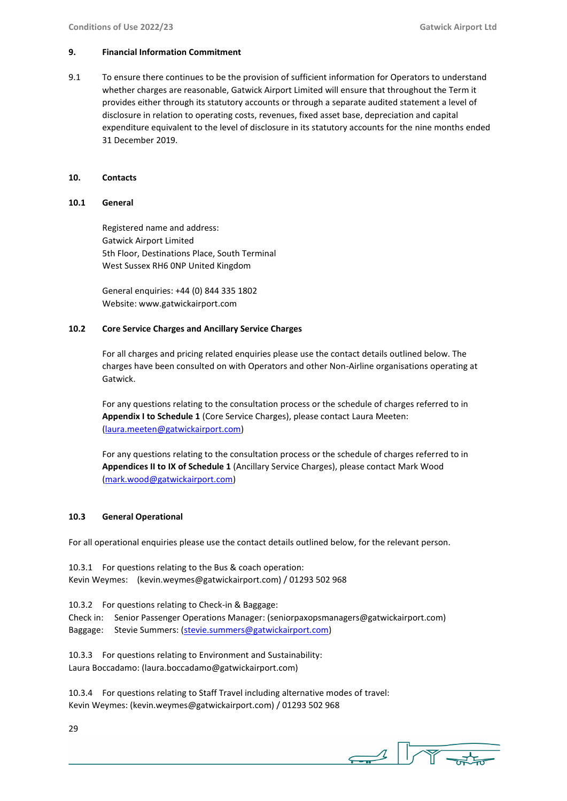## **9. Financial Information Commitment**

9.1 To ensure there continues to be the provision of sufficient information for Operators to understand whether charges are reasonable, Gatwick Airport Limited will ensure that throughout the Term it provides either through its statutory accounts or through a separate audited statement a level of disclosure in relation to operating costs, revenues, fixed asset base, depreciation and capital expenditure equivalent to the level of disclosure in its statutory accounts for the nine months ended 31 December 2019.

## **10. Contacts**

## **10.1 General**

Registered name and address: Gatwick Airport Limited 5th Floor, Destinations Place, South Terminal West Sussex RH6 0NP United Kingdom

General enquiries: +44 (0) 844 335 1802 Website: www.gatwickairport.com

## **10.2 Core Service Charges and Ancillary Service Charges**

For all charges and pricing related enquiries please use the contact details outlined below. The charges have been consulted on with Operators and other Non-Airline organisations operating at Gatwick.

For any questions relating to the consultation process or the schedule of charges referred to in **Appendix I to Schedule 1** (Core Service Charges), please contact Laura Meeten: [\(laura.meeten@gatwickairport.com\)](mailto:laura.meeten@gatwickairport.com)

For any questions relating to the consultation process or the schedule of charges referred to in **Appendices II to IX of Schedule 1** (Ancillary Service Charges), please contact Mark Wood [\(mark.wood@gatwickairport.com\)](mailto:mark.wood@gatwickairport.com)

## **10.3 General Operational**

For all operational enquiries please use the contact details outlined below, for the relevant person.

10.3.1 For questions relating to the Bus & coach operation: Kevin Weymes: (kevin.weymes@gatwickairport.com) / 01293 502 968

10.3.2 For questions relating to Check-in & Baggage: Check in: Senior Passenger Operations Manager: (seniorpaxopsmanagers@gatwickairport.com) Baggage: Stevie Summers: [\(stevie.summers@gatwickairport.com\)](mailto:stevie.summers@gatwickairport.com)

10.3.3 For questions relating to Environment and Sustainability: Laura Boccadamo: (laura.boccadamo@gatwickairport.com)

10.3.4 For questions relating to Staff Travel including alternative modes of travel: Kevin Weymes: (kevin.weymes@gatwickairport.com) / 01293 502 968

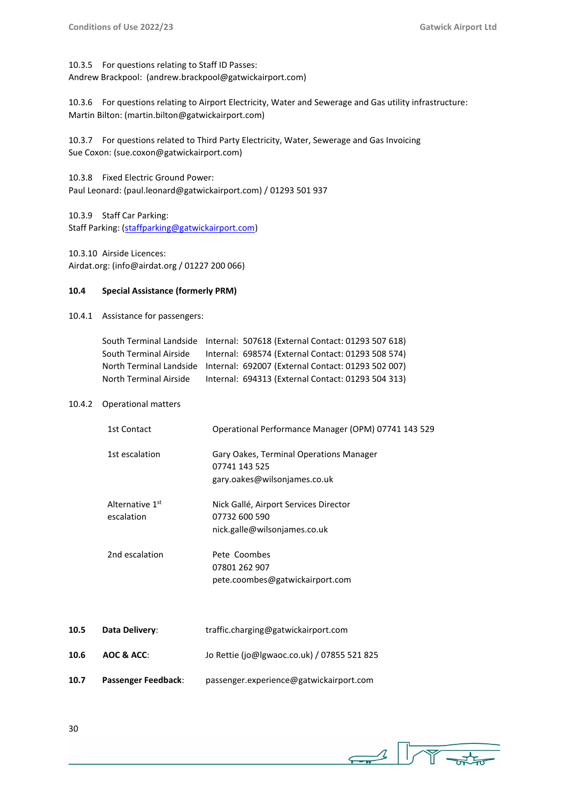10.3.5 For questions relating to Staff ID Passes: Andrew Brackpool: (andrew.brackpool@gatwickairport.com)

10.3.6 For questions relating to Airport Electricity, Water and Sewerage and Gas utility infrastructure: Martin Bilton: (martin.bilton@gatwickairport.com)

10.3.7 For questions related to Third Party Electricity, Water, Sewerage and Gas Invoicing Sue Coxon: (sue.coxon@gatwickairport.com)

10.3.8 Fixed Electric Ground Power: Paul Leonard: (paul.leonard@gatwickairport.com) / 01293 501 937

10.3.9 Staff Car Parking: Staff Parking: [\(staffparking@gatwickairport.com\)](mailto:staffparking@gatwickairport.com)

10.3.10 Airside Licences: Airdat.org: (info@airdat.org / 01227 200 066)

## **10.4 Special Assistance (formerly PRM)**

10.4.1 Assistance for passengers:

|                        | South Terminal Landside Internal: 507618 (External Contact: 01293 507 618) |
|------------------------|----------------------------------------------------------------------------|
| South Terminal Airside | Internal: 698574 (External Contact: 01293 508 574)                         |
|                        | North Terminal Landside Internal: 692007 (External Contact: 01293 502 007) |
| North Terminal Airside | Internal: 694313 (External Contact: 01293 504 313)                         |

## 10.4.2 Operational matters

| 1st Contact                   | Operational Performance Manager (OPM) 07741 143 529                                             |
|-------------------------------|-------------------------------------------------------------------------------------------------|
| 1st escalation                | <b>Gary Oakes, Terminal Operations Manager</b><br>07741 143 525<br>gary.oakes@wilsonjames.co.uk |
| Alternative 1st<br>escalation | Nick Gallé, Airport Services Director<br>07732 600 590<br>nick.galle@wilsonjames.co.uk          |
| 2nd escalation                | Pete Coombes<br>07801 262 907<br>pete.coombes@gatwickairport.com                                |

| 10.5 | Data Delivery:      | traffic.charging@gatwickairport.com         |
|------|---------------------|---------------------------------------------|
| 10.6 | AOC & ACC:          | Jo Rettie (jo@lgwaoc.co.uk) / 07855 521 825 |
| 10.7 | Passenger Feedback: | passenger.experience@gatwickairport.com     |



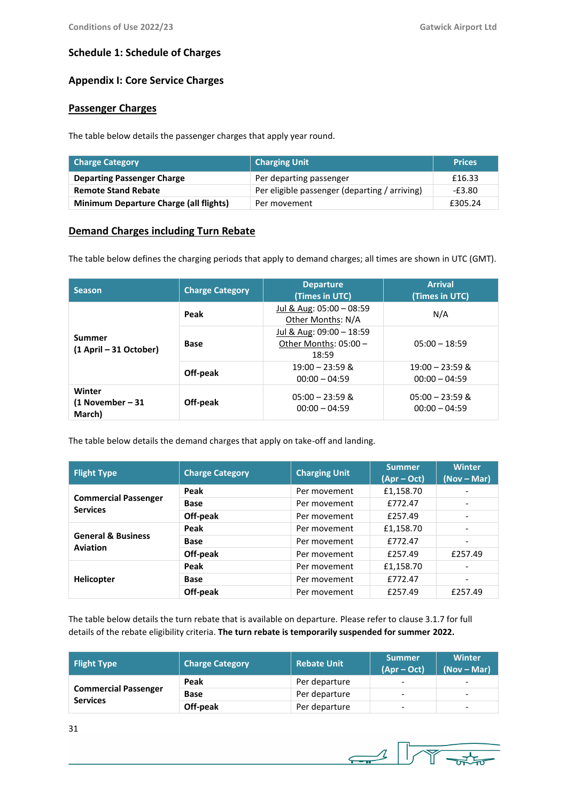## **Schedule 1: Schedule of Charges**

## **Appendix I: Core Service Charges**

## **Passenger Charges**

The table below details the passenger charges that apply year round.

| Charge Category                               | <b>Charging Unit</b>                          | <b>Prices</b> |
|-----------------------------------------------|-----------------------------------------------|---------------|
| <b>Departing Passenger Charge</b>             | Per departing passenger                       | £16.33        |
| <b>Remote Stand Rebate</b>                    | Per eligible passenger (departing / arriving) | -£3.80        |
| <b>Minimum Departure Charge (all flights)</b> | Per movement                                  | £305.24       |

## **Demand Charges including Turn Rebate**

The table below defines the charging periods that apply to demand charges; all times are shown in UTC (GMT).

| <b>Season</b>                        | <b>Charge Category</b> | <b>Departure</b><br>(Times in UTC)                         | <b>Arrival</b><br>(Times in UTC)     |
|--------------------------------------|------------------------|------------------------------------------------------------|--------------------------------------|
|                                      | Peak                   | Jul & Aug: 05:00 - 08:59<br>Other Months: N/A              | N/A                                  |
| Summer<br>(1 April – 31 October)     | <b>Base</b>            | Jul & Aug: 09:00 - 18:59<br>Other Months: 05:00 -<br>18:59 | $05:00 - 18:59$                      |
|                                      | Off-peak               | $19:00 - 23:59$ &<br>$00:00 - 04:59$                       | $19:00 - 23:59$ &<br>$00:00 - 04:59$ |
| Winter<br>(1 November – 31<br>March) | Off-peak               | $05:00 - 23:59$ &<br>$00:00 - 04:59$                       | $05:00 - 23:59$ &<br>$00:00 - 04:59$ |

The table below details the demand charges that apply on take-off and landing.

| <b>Flight Type</b>                               | <b>Charge Category</b> | <b>Charging Unit</b> | <b>Summer</b><br>$(Apr-Oct)$ | <b>Winter</b><br>$(Nov - Mar)$ |
|--------------------------------------------------|------------------------|----------------------|------------------------------|--------------------------------|
|                                                  | Peak                   | Per movement         | £1,158.70                    |                                |
| <b>Commercial Passenger</b><br><b>Services</b>   | <b>Base</b>            | Per movement         | £772.47                      |                                |
|                                                  | Off-peak               | Per movement         | £257.49                      |                                |
|                                                  | Peak                   | Per movement         | £1,158.70                    |                                |
| <b>General &amp; Business</b><br><b>Aviation</b> | <b>Base</b>            | Per movement         | £772.47                      | $\overline{\phantom{0}}$       |
|                                                  | Off-peak               | Per movement         | £257.49                      | £257.49                        |
|                                                  | Peak                   | Per movement         | £1,158.70                    |                                |
| <b>Helicopter</b>                                | <b>Base</b>            | Per movement         | £772.47                      |                                |
|                                                  | Off-peak               | Per movement         | £257.49                      | £257.49                        |

The table below details the turn rebate that is available on departure. Please refer to clause 3.1.7 for full details of the rebate eligibility criteria. **The turn rebate is temporarily suspended for summer 2022.**

| <b>Flight Type</b>                             | <b>Charge Category</b> | <b>Rebate Unit</b> | <b>Summer</b><br>$(Apr - Oct)$ | <b>Winter</b><br>$(Nov - Mar)$ |
|------------------------------------------------|------------------------|--------------------|--------------------------------|--------------------------------|
|                                                | Peak                   | Per departure      | $\overline{\phantom{0}}$       | -                              |
| <b>Commercial Passenger</b><br><b>Services</b> | Base                   | Per departure      | $\overline{\phantom{0}}$       | $\overline{\phantom{0}}$       |
|                                                | Off-peak               | Per departure      | $\overline{\phantom{a}}$       | $\overline{\phantom{0}}$       |

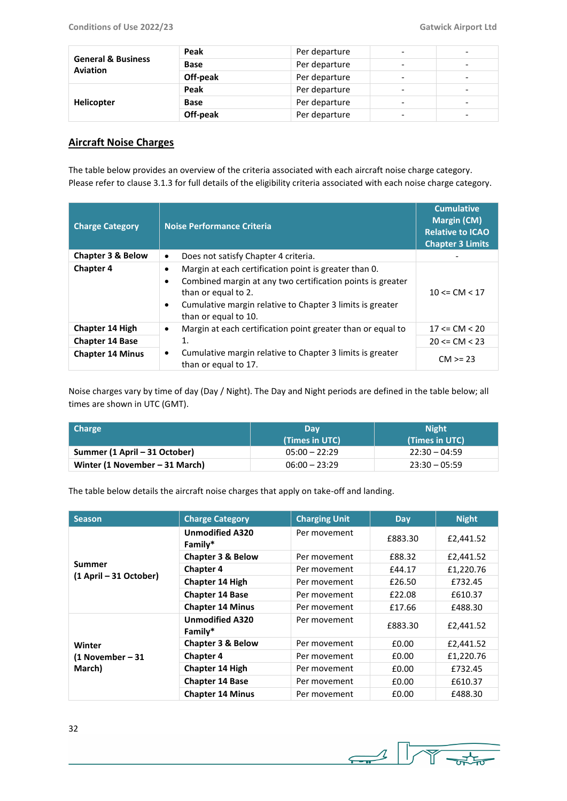| <b>General &amp; Business</b><br><b>Aviation</b> | Peak     | Per departure |                          | $\overline{\phantom{0}}$ |
|--------------------------------------------------|----------|---------------|--------------------------|--------------------------|
|                                                  | Base     | Per departure | -                        | $\overline{\phantom{0}}$ |
|                                                  | Off-peak | Per departure |                          | -                        |
|                                                  | Peak     | Per departure |                          | -                        |
| <b>Helicopter</b>                                | Base     | Per departure | $\overline{\phantom{0}}$ | $\overline{\phantom{0}}$ |
|                                                  | Off-peak | Per departure | -                        | -                        |

## **Aircraft Noise Charges**

The table below provides an overview of the criteria associated with each aircraft noise charge category. Please refer to clause 3.1.3 for full details of the eligibility criteria associated with each noise charge category.

| <b>Charge Category</b>  | Noise Performance Criteria                                                                                                                                                                                                                     | <b>Cumulative</b><br><b>Margin (CM)</b><br><b>Relative to ICAO</b><br><b>Chapter 3 Limits</b> |
|-------------------------|------------------------------------------------------------------------------------------------------------------------------------------------------------------------------------------------------------------------------------------------|-----------------------------------------------------------------------------------------------|
| Chapter 3 & Below       | Does not satisfy Chapter 4 criteria.<br>$\bullet$                                                                                                                                                                                              |                                                                                               |
| <b>Chapter 4</b>        | Margin at each certification point is greater than 0.<br>٠<br>Combined margin at any two certification points is greater<br>٠<br>than or equal to 2.<br>Cumulative margin relative to Chapter 3 limits is greater<br>٠<br>than or equal to 10. | $10 \leq C M \leq 17$                                                                         |
| <b>Chapter 14 High</b>  | Margin at each certification point greater than or equal to<br>٠                                                                                                                                                                               | $17 \leq C M \leq 20$                                                                         |
| <b>Chapter 14 Base</b>  | 1.                                                                                                                                                                                                                                             | $20 \le CM \le 23$                                                                            |
| <b>Chapter 14 Minus</b> | Cumulative margin relative to Chapter 3 limits is greater<br>٠<br>than or equal to 17.                                                                                                                                                         | $CM > = 23$                                                                                   |

Noise charges vary by time of day (Day / Night). The Day and Night periods are defined in the table below; all times are shown in UTC (GMT).

| <b>Charge</b>                  | Dav             | <b>Night</b>    |  |
|--------------------------------|-----------------|-----------------|--|
|                                | (Times in UTC)  | (Times in UTC)  |  |
| Summer (1 April – 31 October)  | $05:00 - 22:29$ | $22:30 - 04:59$ |  |
| Winter (1 November – 31 March) | $06:00 - 23:29$ | $23:30 - 05:59$ |  |

The table below details the aircraft noise charges that apply on take-off and landing.

| <b>Season</b>                          | <b>Charge Category</b>            | <b>Charging Unit</b> | <b>Day</b> | <b>Night</b> |
|----------------------------------------|-----------------------------------|----------------------|------------|--------------|
|                                        | <b>Unmodified A320</b><br>Family* | Per movement         | £883.30    | £2,441.52    |
|                                        | Chapter 3 & Below                 | Per movement         | £88.32     | £2,441.52    |
| Summer                                 | <b>Chapter 4</b>                  | Per movement         | £44.17     | £1,220.76    |
| (1 April - 31 October)                 | <b>Chapter 14 High</b>            | Per movement         | £26.50     | £732.45      |
|                                        | <b>Chapter 14 Base</b>            | Per movement         | £22.08     | £610.37      |
|                                        | <b>Chapter 14 Minus</b>           | Per movement         | £17.66     | £488.30      |
| Winter<br>$(1$ November – 31<br>March) | <b>Unmodified A320</b><br>Family* | Per movement         | £883.30    | £2,441.52    |
|                                        | <b>Chapter 3 &amp; Below</b>      | Per movement         | £0.00      | £2,441.52    |
|                                        | <b>Chapter 4</b>                  | Per movement         | £0.00      | £1,220.76    |
|                                        | <b>Chapter 14 High</b>            | Per movement         | £0.00      | £732.45      |
|                                        | <b>Chapter 14 Base</b>            | Per movement         | £0.00      | £610.37      |
|                                        | <b>Chapter 14 Minus</b>           | Per movement         | £0.00      | £488.30      |

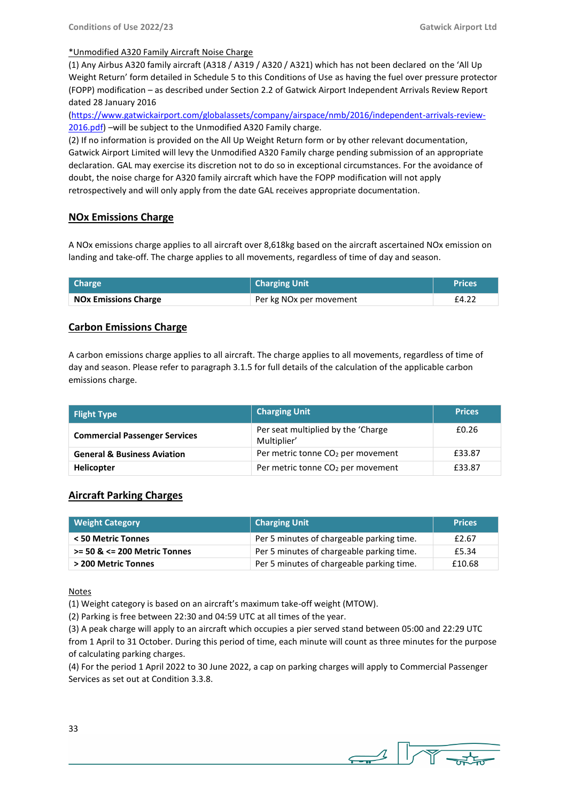## \*Unmodified A320 Family Aircraft Noise Charge

(1) Any Airbus A320 family aircraft (A318 / A319 / A320 / A321) which has not been declared on the 'All Up Weight Return' form detailed in Schedule 5 to this Conditions of Use as having the fuel over pressure protector (FOPP) modification – as described under Section 2.2 of Gatwick Airport Independent Arrivals Review Report dated 28 January 2016

[\(https://www.gatwickairport.com/globalassets/company/airspace/nmb/2016/independent-arrivals-review-](https://www.gatwickairport.com/globalassets/company/airspace/nmb/2016/independent-arrivals-review-2016.pdf)[2016.pdf\)](https://www.gatwickairport.com/globalassets/company/airspace/nmb/2016/independent-arrivals-review-2016.pdf) –will be subject to the Unmodified A320 Family charge.

(2) If no information is provided on the All Up Weight Return form or by other relevant documentation, Gatwick Airport Limited will levy the Unmodified A320 Family charge pending submission of an appropriate declaration. GAL may exercise its discretion not to do so in exceptional circumstances. For the avoidance of doubt, the noise charge for A320 family aircraft which have the FOPP modification will not apply retrospectively and will only apply from the date GAL receives appropriate documentation.

## **NOx Emissions Charge**

A NOx emissions charge applies to all aircraft over 8,618kg based on the aircraft ascertained NOx emission on landing and take-off. The charge applies to all movements, regardless of time of day and season.

| Charge                      | Charging Unit                       | <b>Prices</b> |
|-----------------------------|-------------------------------------|---------------|
| <b>NOx Emissions Charge</b> | Per kg NO <sub>x</sub> per movement | £4.22         |

## **Carbon Emissions Charge**

A carbon emissions charge applies to all aircraft. The charge applies to all movements, regardless of time of day and season. Please refer to paragraph 3.1.5 for full details of the calculation of the applicable carbon emissions charge.

| Flight Type                            | <b>Charging Unit</b>                               | <b>Prices</b> |
|----------------------------------------|----------------------------------------------------|---------------|
| <b>Commercial Passenger Services</b>   | Per seat multiplied by the 'Charge'<br>Multiplier' | £0.26         |
| <b>General &amp; Business Aviation</b> | Per metric tonne CO <sub>2</sub> per movement      | £33.87        |
| <b>Helicopter</b>                      | Per metric tonne CO <sub>2</sub> per movement      | £33.87        |

## **Aircraft Parking Charges**

| Weight Category                  | <b>Charging Unit</b>                      | <b>Prices</b> |
|----------------------------------|-------------------------------------------|---------------|
| < 50 Metric Tonnes               | Per 5 minutes of chargeable parking time. | £2.67         |
| $>= 50$ & $<= 200$ Metric Tonnes | Per 5 minutes of chargeable parking time. | £5.34         |
| > 200 Metric Tonnes              | Per 5 minutes of chargeable parking time. | £10.68        |

Notes

(1) Weight category is based on an aircraft's maximum take-off weight (MTOW).

(2) Parking is free between 22:30 and 04:59 UTC at all times of the year.

(3) A peak charge will apply to an aircraft which occupies a pier served stand between 05:00 and 22:29 UTC from 1 April to 31 October. During this period of time, each minute will count as three minutes for the purpose of calculating parking charges.

(4) For the period 1 April 2022 to 30 June 2022, a cap on parking charges will apply to Commercial Passenger Services as set out at Condition 3.3.8.



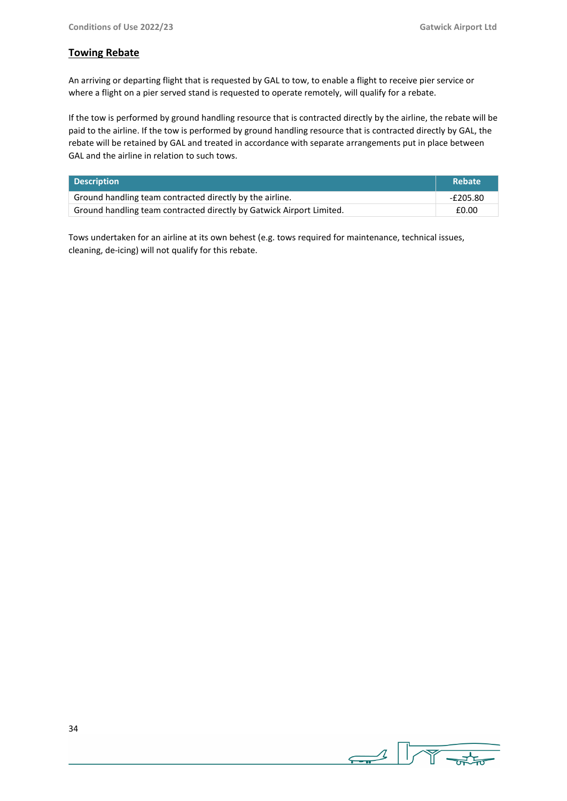## **Towing Rebate**

An arriving or departing flight that is requested by GAL to tow, to enable a flight to receive pier service or where a flight on a pier served stand is requested to operate remotely, will qualify for a rebate.

If the tow is performed by ground handling resource that is contracted directly by the airline, the rebate will be paid to the airline. If the tow is performed by ground handling resource that is contracted directly by GAL, the rebate will be retained by GAL and treated in accordance with separate arrangements put in place between GAL and the airline in relation to such tows.

| <b>Description</b>                                                   | <b>Rebate</b> |
|----------------------------------------------------------------------|---------------|
| Ground handling team contracted directly by the airline.             | -£205.80      |
| Ground handling team contracted directly by Gatwick Airport Limited. | £0.00         |

Tows undertaken for an airline at its own behest (e.g. tows required for maintenance, technical issues, cleaning, de-icing) will not qualify for this rebate.

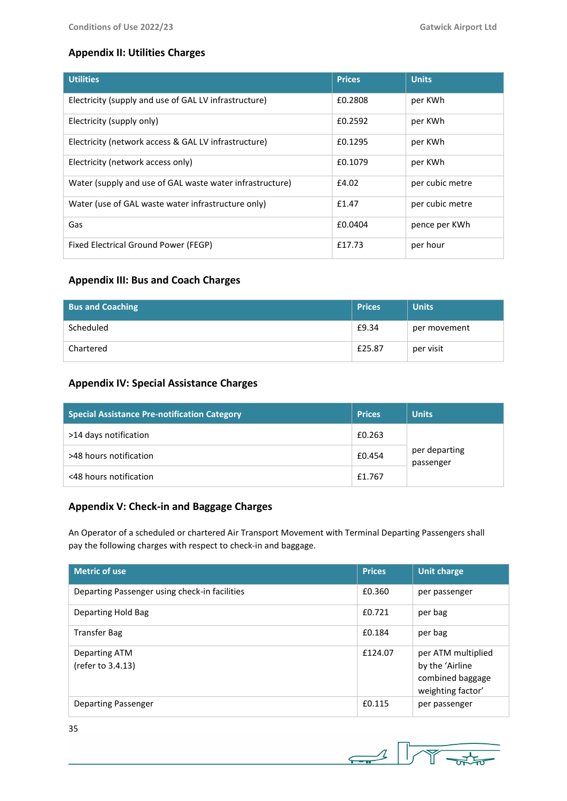# **Appendix II: Utilities Charges**

| <b>Utilities</b>                                         | <b>Prices</b> | <b>Units</b>    |
|----------------------------------------------------------|---------------|-----------------|
| Electricity (supply and use of GAL LV infrastructure)    | £0.2808       | per KWh         |
| Electricity (supply only)                                | £0.2592       | per KWh         |
| Electricity (network access & GAL LV infrastructure)     | £0.1295       | per KWh         |
| Electricity (network access only)                        | £0.1079       | per KWh         |
| Water (supply and use of GAL waste water infrastructure) | £4.02         | per cubic metre |
| Water (use of GAL waste water infrastructure only)       | £1.47         | per cubic metre |
| Gas                                                      | £0.0404       | pence per KWh   |
| Fixed Electrical Ground Power (FEGP)                     | £17.73        | per hour        |

## **Appendix III: Bus and Coach Charges**

| <b>Bus and Coaching</b> | <b>Prices</b> | <b>Units</b> |
|-------------------------|---------------|--------------|
| Scheduled               | £9.34         | per movement |
| Chartered               | £25.87        | per visit    |

# **Appendix IV: Special Assistance Charges**

| <b>Special Assistance Pre-notification Category</b> | <b>Prices</b> | <b>Units</b>               |  |
|-----------------------------------------------------|---------------|----------------------------|--|
| >14 days notification                               | £0.263        |                            |  |
| >48 hours notification                              | £0.454        | per departing<br>passenger |  |
| <48 hours notification                              | £1.767        |                            |  |

## **Appendix V: Check-in and Baggage Charges**

An Operator of a scheduled or chartered Air Transport Movement with Terminal Departing Passengers shall pay the following charges with respect to check-in and baggage.

| <b>Metric of use</b>                          | <b>Prices</b> | <b>Unit charge</b>                                                             |
|-----------------------------------------------|---------------|--------------------------------------------------------------------------------|
| Departing Passenger using check-in facilities | £0.360        | per passenger                                                                  |
| Departing Hold Bag                            | £0.721        | per bag                                                                        |
| <b>Transfer Bag</b>                           | £0.184        | per bag                                                                        |
| Departing ATM<br>(refer to 3.4.13)            | £124.07       | per ATM multiplied<br>by the 'Airline<br>combined baggage<br>weighting factor' |
| Departing Passenger                           | £0.115        | per passenger                                                                  |



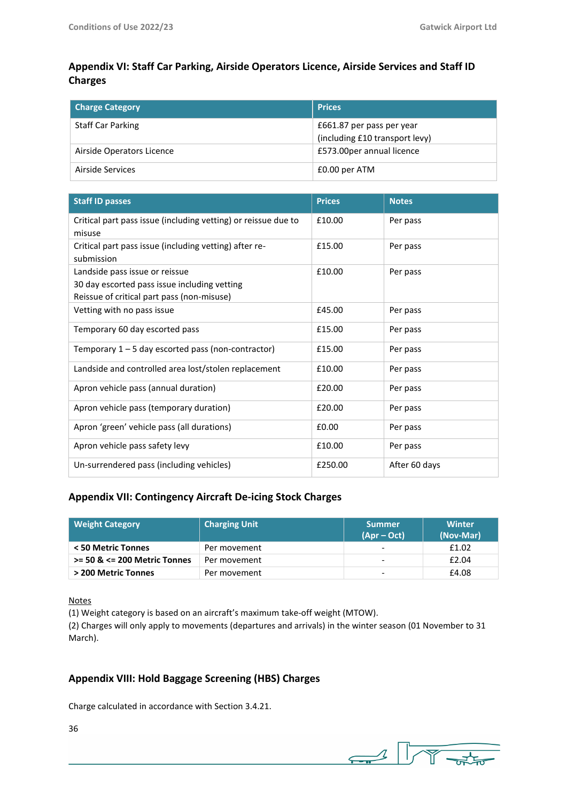# **Appendix VI: Staff Car Parking, Airside Operators Licence, Airside Services and Staff ID Charges**

| <b>Charge Category</b>    | <b>Prices</b>                                               |
|---------------------------|-------------------------------------------------------------|
| Staff Car Parking         | £661.87 per pass per year<br>(including £10 transport levy) |
| Airside Operators Licence | £573.00per annual licence                                   |
| Airside Services          | £0.00 per ATM                                               |

| <b>Staff ID passes</b>                                                                                                       | <b>Prices</b> | <b>Notes</b>  |
|------------------------------------------------------------------------------------------------------------------------------|---------------|---------------|
| Critical part pass issue (including vetting) or reissue due to<br>misuse                                                     | £10.00        | Per pass      |
| Critical part pass issue (including vetting) after re-<br>submission                                                         | £15.00        | Per pass      |
| Landside pass issue or reissue<br>30 day escorted pass issue including vetting<br>Reissue of critical part pass (non-misuse) | £10.00        | Per pass      |
| Vetting with no pass issue                                                                                                   | £45.00        | Per pass      |
| Temporary 60 day escorted pass                                                                                               | £15.00        | Per pass      |
| Temporary $1 - 5$ day escorted pass (non-contractor)                                                                         | £15.00        | Per pass      |
| Landside and controlled area lost/stolen replacement                                                                         | £10.00        | Per pass      |
| Apron vehicle pass (annual duration)                                                                                         | £20.00        | Per pass      |
| Apron vehicle pass (temporary duration)                                                                                      | £20.00        | Per pass      |
| Apron 'green' vehicle pass (all durations)                                                                                   | £0.00         | Per pass      |
| Apron vehicle pass safety levy                                                                                               | £10.00        | Per pass      |
| Un-surrendered pass (including vehicles)                                                                                     | £250.00       | After 60 days |

## **Appendix VII: Contingency Aircraft De-icing Stock Charges**

| <b>Weight Category</b>           | <b>Charging Unit</b> | <b>Summer</b><br>$(Apr - Oct)$ | <b>Winter</b><br>(Nov-Mar) |
|----------------------------------|----------------------|--------------------------------|----------------------------|
| < 50 Metric Tonnes               | Per movement         | $\overline{\phantom{a}}$       | £1.02                      |
| $>= 50$ & $<= 200$ Metric Tonnes | Per movement         | $\overline{\phantom{a}}$       | £2.04                      |
| > 200 Metric Tonnes              | Per movement         | $\overline{\phantom{a}}$       | £4.08                      |

Notes

(1) Weight category is based on an aircraft's maximum take-off weight (MTOW).

(2) Charges will only apply to movements (departures and arrivals) in the winter season (01 November to 31 March).

# **Appendix VIII: Hold Baggage Screening (HBS) Charges**

Charge calculated in accordance with Section 3.4.21.

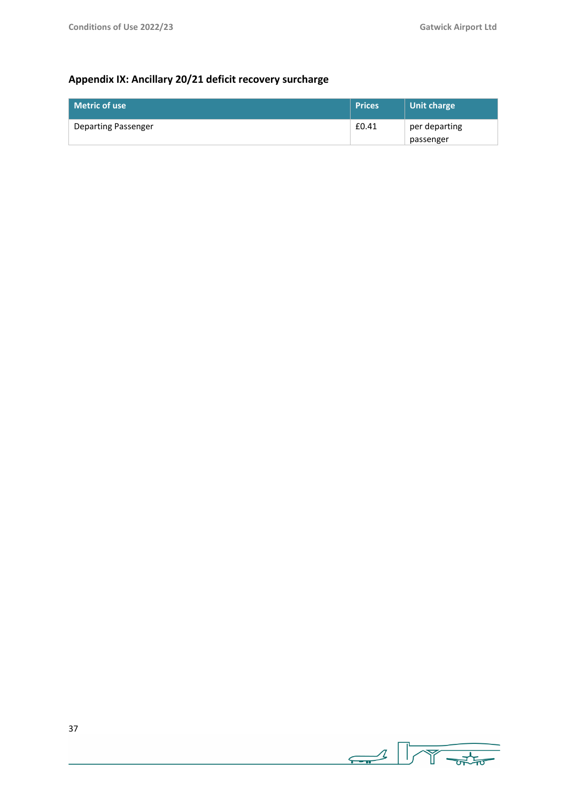# **Appendix IX: Ancillary 20/21 deficit recovery surcharge**

| l Metric of use     | <b>Prices</b> | Unit charge   |
|---------------------|---------------|---------------|
| Departing Passenger | £0.41         | per departing |
|                     |               | passenger     |

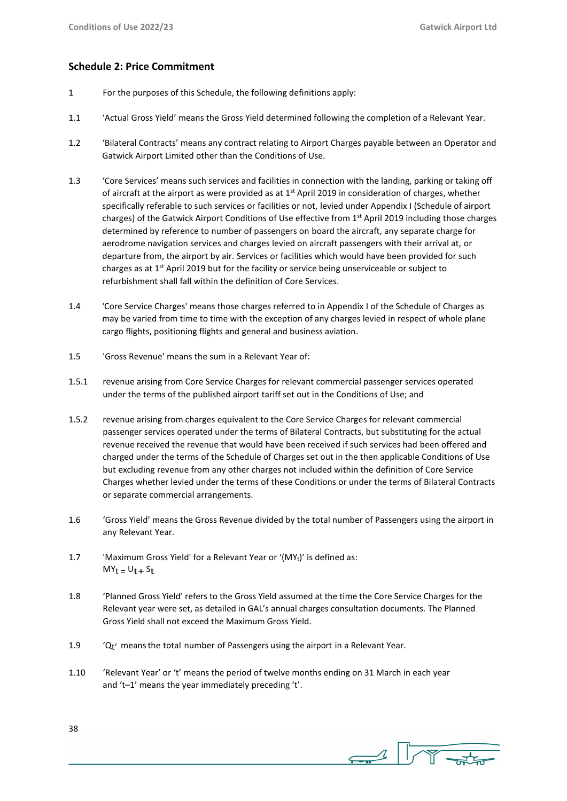## **Schedule 2: Price Commitment**

- 1 For the purposes of this Schedule, the following definitions apply:
- 1.1 'Actual Gross Yield' means the Gross Yield determined following the completion of a Relevant Year.
- 1.2 'Bilateral Contracts' means any contract relating to Airport Charges payable between an Operator and Gatwick Airport Limited other than the Conditions of Use.
- 1.3 'Core Services' means such services and facilities in connection with the landing, parking or taking off of aircraft at the airport as were provided as at  $1<sup>st</sup>$  April 2019 in consideration of charges, whether specifically referable to such services or facilities or not, levied under Appendix I (Schedule of airport charges) of the Gatwick Airport Conditions of Use effective from 1<sup>st</sup> April 2019 including those charges determined by reference to number of passengers on board the aircraft, any separate charge for aerodrome navigation services and charges levied on aircraft passengers with their arrival at, or departure from, the airport by air. Services or facilities which would have been provided for such charges as at  $1<sup>st</sup>$  April 2019 but for the facility or service being unserviceable or subject to refurbishment shall fall within the definition of Core Services.
- 1.4 'Core Service Charges' means those charges referred to in Appendix I of the Schedule of Charges as may be varied from time to time with the exception of any charges levied in respect of whole plane cargo flights, positioning flights and general and business aviation.
- 1.5 'Gross Revenue' means the sum in a Relevant Year of:
- 1.5.1 revenue arising from Core Service Charges for relevant commercial passenger services operated under the terms of the published airport tariff set out in the Conditions of Use; and
- 1.5.2 revenue arising from charges equivalent to the Core Service Charges for relevant commercial passenger services operated under the terms of Bilateral Contracts, but substituting for the actual revenue received the revenue that would have been received if such services had been offered and charged under the terms of the Schedule of Charges set out in the then applicable Conditions of Use but excluding revenue from any other charges not included within the definition of Core Service Charges whether levied under the terms of these Conditions or under the terms of Bilateral Contracts or separate commercial arrangements.
- 1.6 'Gross Yield' means the Gross Revenue divided by the total number of Passengers using the airport in any Relevant Year.
- 1.7 'Maximum Gross Yield' for a Relevant Year or '(MYt)' is defined as:  $MY_t = U_t + S_t$
- 1.8 'Planned Gross Yield' refers to the Gross Yield assumed at the time the Core Service Charges for the Relevant year were set, as detailed in GAL's annual charges consultation documents. The Planned Gross Yield shall not exceed the Maximum Gross Yield.
- 1.9  $^{\prime}$   $^{\prime}$  Q<sub>t</sub>' means the total number of Passengers using the airport in a Relevant Year.
- 1.10 'Relevant Year' or 't' means the period of twelve months ending on 31 March in each year and 't–1' means the year immediately preceding 't'.

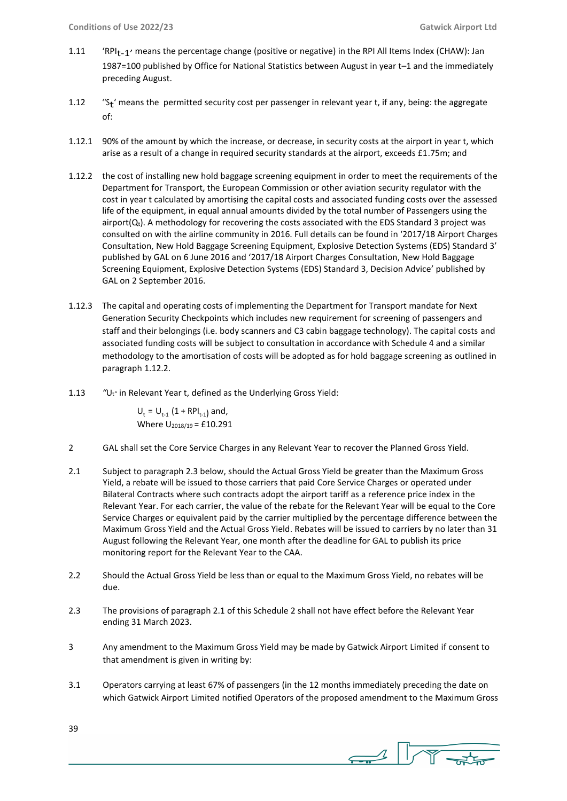- 1.11 'RPI<sub>t-1</sub>' means the percentage change (positive or negative) in the RPI All Items Index (CHAW): Jan 1987=100 published by Office for National Statistics between August in year t–1 and the immediately preceding August.
- $1.12$ " $S_t$ " means the permitted security cost per passenger in relevant year t, if any, being: the aggregate of:
- 1.12.1 90% of the amount by which the increase, or decrease, in security costs at the airport in year t, which arise as a result of a change in required security standards at the airport, exceeds £1.75m; and
- 1.12.2 the cost of installing new hold baggage screening equipment in order to meet the requirements of the Department for Transport, the European Commission or other aviation security regulator with the cost in year t calculated by amortising the capital costs and associated funding costs over the assessed life of the equipment, in equal annual amounts divided by the total number of Passengers using the airport( $Q_t$ ). A methodology for recovering the costs associated with the EDS Standard 3 project was consulted on with the airline community in 2016. Full details can be found in '2017/18 Airport Charges Consultation, New Hold Baggage Screening Equipment, Explosive Detection Systems (EDS) Standard 3' published by GAL on 6 June 2016 and '2017/18 Airport Charges Consultation, New Hold Baggage Screening Equipment, Explosive Detection Systems (EDS) Standard 3, Decision Advice' published by GAL on 2 September 2016.
- 1.12.3 The capital and operating costs of implementing the Department for Transport mandate for Next Generation Security Checkpoints which includes new requirement for screening of passengers and staff and their belongings (i.e. body scanners and C3 cabin baggage technology). The capital costs and associated funding costs will be subject to consultation in accordance with Schedule 4 and a similar methodology to the amortisation of costs will be adopted as for hold baggage screening as outlined in paragraph 1.12.2.
- 1.13 *"*Ut*"* in Relevant Year t, defined as the Underlying Gross Yield:

 $U_t = U_{t-1} (1 + RPI_{t-1})$  and, Where  $U_{2018/19} = £10.291$ 

- 2 GAL shall set the Core Service Charges in any Relevant Year to recover the Planned Gross Yield.
- 2.1 Subject to paragraph 2.3 below, should the Actual Gross Yield be greater than the Maximum Gross Yield, a rebate will be issued to those carriers that paid Core Service Charges or operated under Bilateral Contracts where such contracts adopt the airport tariff as a reference price index in the Relevant Year. For each carrier, the value of the rebate for the Relevant Year will be equal to the Core Service Charges or equivalent paid by the carrier multiplied by the percentage difference between the Maximum Gross Yield and the Actual Gross Yield. Rebates will be issued to carriers by no later than 31 August following the Relevant Year, one month after the deadline for GAL to publish its price monitoring report for the Relevant Year to the CAA.
- 2.2 Should the Actual Gross Yield be less than or equal to the Maximum Gross Yield, no rebates will be due.
- 2.3 The provisions of paragraph 2.1 of this Schedule 2 shall not have effect before the Relevant Year ending 31 March 2023.
- 3 Any amendment to the Maximum Gross Yield may be made by Gatwick Airport Limited if consent to that amendment is given in writing by:
- 3.1 Operators carrying at least 67% of passengers (in the 12 months immediately preceding the date on which Gatwick Airport Limited notified Operators of the proposed amendment to the Maximum Gross

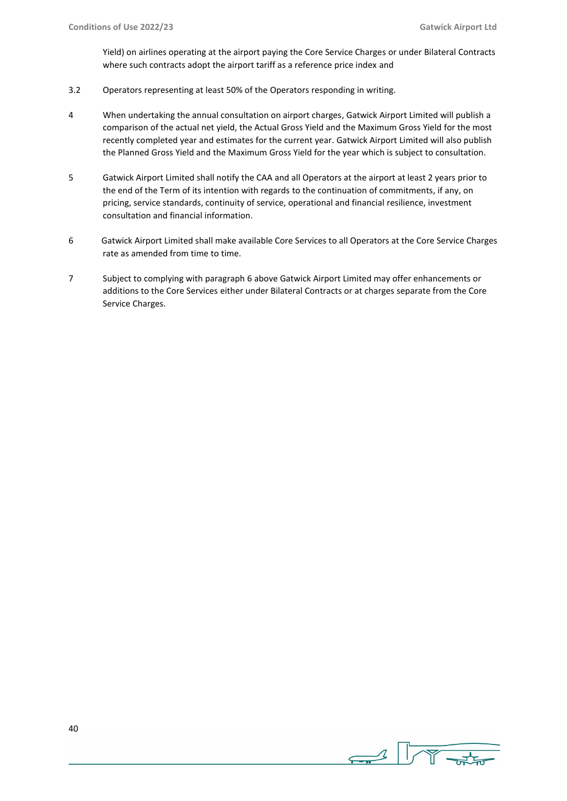Yield) on airlines operating at the airport paying the Core Service Charges or under Bilateral Contracts where such contracts adopt the airport tariff as a reference price index and

- 3.2 Operators representing at least 50% of the Operators responding in writing.
- 4 When undertaking the annual consultation on airport charges, Gatwick Airport Limited will publish a comparison of the actual net yield, the Actual Gross Yield and the Maximum Gross Yield for the most recently completed year and estimates for the current year. Gatwick Airport Limited will also publish the Planned Gross Yield and the Maximum Gross Yield for the year which is subject to consultation.
- 5 Gatwick Airport Limited shall notify the CAA and all Operators at the airport at least 2 years prior to the end of the Term of its intention with regards to the continuation of commitments, if any, on pricing, service standards, continuity of service, operational and financial resilience, investment consultation and financial information.
- 6 Gatwick Airport Limited shall make available Core Services to all Operators at the Core Service Charges rate as amended from time to time.
- 7 Subject to complying with paragraph 6 above Gatwick Airport Limited may offer enhancements or additions to the Core Services either under Bilateral Contracts or at charges separate from the Core Service Charges.

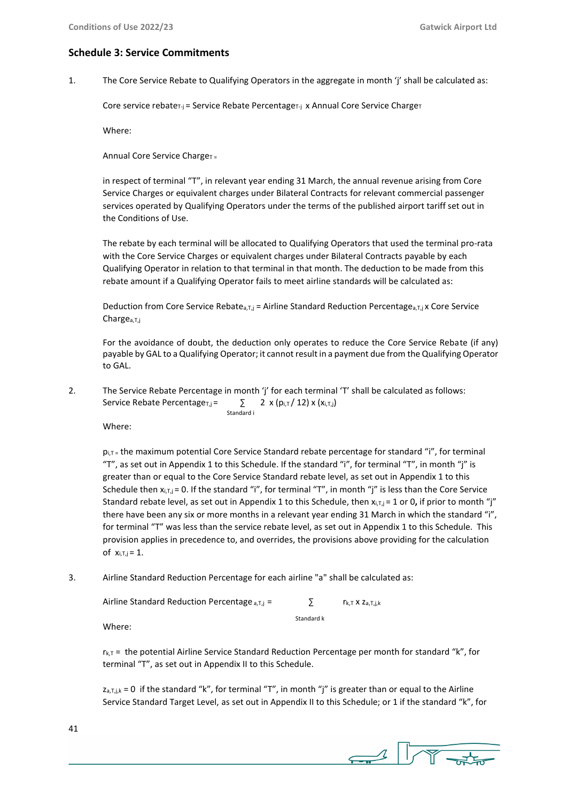## **Schedule 3: Service Commitments**

1. The Core Service Rebate to Qualifying Operators in the aggregate in month 'j' shall be calculated as:

Core service rebate $T_{-j}$  = Service Rebate Percentage $T_{-j}$  x Annual Core Service Charge $T$ 

Where:

Annual Core Service Charge $T =$ 

in respect of terminal "T", in relevant year ending 31 March, the annual revenue arising from Core Service Charges or equivalent charges under Bilateral Contracts for relevant commercial passenger services operated by Qualifying Operators under the terms of the published airport tariff set out in the Conditions of Use.

The rebate by each terminal will be allocated to Qualifying Operators that used the terminal pro-rata with the Core Service Charges or equivalent charges under Bilateral Contracts payable by each Qualifying Operator in relation to that terminal in that month. The deduction to be made from this rebate amount if a Qualifying Operator fails to meet airline standards will be calculated as:

Deduction from Core Service Rebate<sub>a,T,j</sub> = Airline Standard Reduction Percentage<sub>a,T,j</sub> x Core Service Chargea,T,j

For the avoidance of doubt, the deduction only operates to reduce the Core Service Rebate (if any) payable by GAL to a Qualifying Operator; it cannot result in a payment due from the Qualifying Operator to GAL.

2. The Service Rebate Percentage in month 'j' for each terminal 'T' shall be calculated as follows: Service Rebate Percentage<sub>T,j</sub> =  $\qquad \qquad \sum 2 \times (p_{i,T}/12) \times (x_{i,T,j})$ Standard i

Where:

pi,T = the maximum potential Core Service Standard rebate percentage for standard "i", for terminal "T", as set out in Appendix 1 to this Schedule. If the standard "i", for terminal "T", in month "j" is greater than or equal to the Core Service Standard rebate level, as set out in Appendix 1 to this Schedule then  $x_{i,T,j}$  = 0. If the standard "i", for terminal "T", in month "j" is less than the Core Service Standard rebate level, as set out in Appendix 1 to this Schedule, then  $x_{i,T,i} = 1$  or 0, if prior to month "j" there have been any six or more months in a relevant year ending 31 March in which the standard "i", for terminal "T" was less than the service rebate level, as set out in Appendix 1 to this Schedule. This provision applies in precedence to, and overrides, the provisions above providing for the calculation of  $x_{i,T,j} = 1$ .

3. Airline Standard Reduction Percentage for each airline "a" shall be calculated as:

| Airline Standard Reduction Percentage $_{a,I,i}$ = |            | $r_{k,T}$ X $z_{a.T.i.k}$ |
|----------------------------------------------------|------------|---------------------------|
| Mh                                                 | Standard k |                           |

Where:

 $r_{k,T}$  = the potential Airline Service Standard Reduction Percentage per month for standard "k", for terminal "T", as set out in Appendix II to this Schedule.

 $z_{a,T,j,k} = 0$  if the standard "k", for terminal "T", in month "j" is greater than or equal to the Airline Service Standard Target Level, as set out in Appendix II to this Schedule; or 1 if the standard "k", for

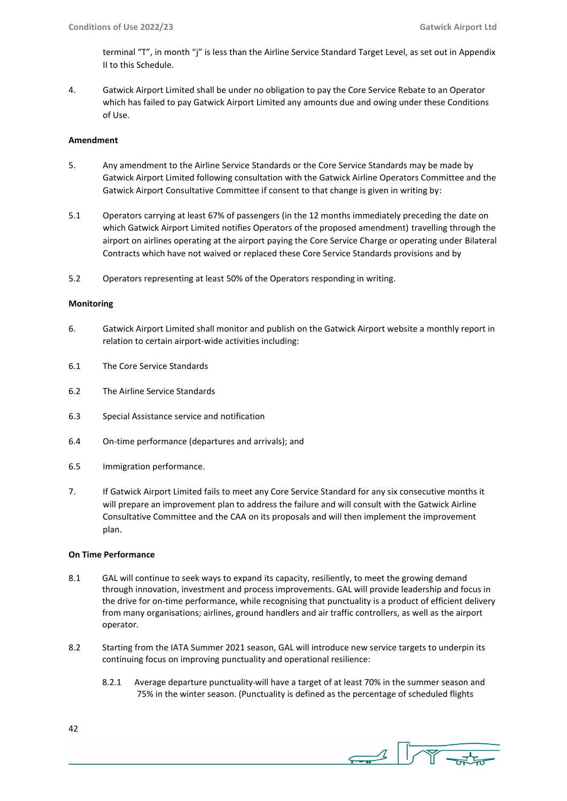terminal "T", in month "j" is less than the Airline Service Standard Target Level, as set out in Appendix II to this Schedule.

4. Gatwick Airport Limited shall be under no obligation to pay the Core Service Rebate to an Operator which has failed to pay Gatwick Airport Limited any amounts due and owing under these Conditions of Use.

#### **Amendment**

- 5. Any amendment to the Airline Service Standards or the Core Service Standards may be made by Gatwick Airport Limited following consultation with the Gatwick Airline Operators Committee and the Gatwick Airport Consultative Committee if consent to that change is given in writing by:
- 5.1 Operators carrying at least 67% of passengers (in the 12 months immediately preceding the date on which Gatwick Airport Limited notifies Operators of the proposed amendment) travelling through the airport on airlines operating at the airport paying the Core Service Charge or operating under Bilateral Contracts which have not waived or replaced these Core Service Standards provisions and by
- 5.2 Operators representing at least 50% of the Operators responding in writing.

#### **Monitoring**

- 6. Gatwick Airport Limited shall monitor and publish on the Gatwick Airport website a monthly report in relation to certain airport-wide activities including:
- 6.1 The Core Service Standards
- 6.2 The Airline Service Standards
- 6.3 Special Assistance service and notification
- 6.4 On-time performance (departures and arrivals); and
- 6.5 Immigration performance.
- 7. If Gatwick Airport Limited fails to meet any Core Service Standard for any six consecutive months it will prepare an improvement plan to address the failure and will consult with the Gatwick Airline Consultative Committee and the CAA on its proposals and will then implement the improvement plan.

## **On Time Performance**

- 8.1GAL will continue to seek ways to expand its capacity, resiliently, to meet the growing demand through innovation, investment and process improvements. GAL will provide leadership and focus in the drive for on-time performance, while recognising that punctuality is a product of efficient delivery from many organisations; airlines, ground handlers and air traffic controllers, as well as the airport operator.
- 8.2 Starting from the IATA Summer 2021 season, GAL will introduce new service targets to underpin its continuing focus on improving punctuality and operational resilience:
	- 8.2.1 Average departure punctuality will have a target of at least 70% in the summer season and 75% in the winter season. (Punctuality is defined as the percentage of scheduled flights
- 42

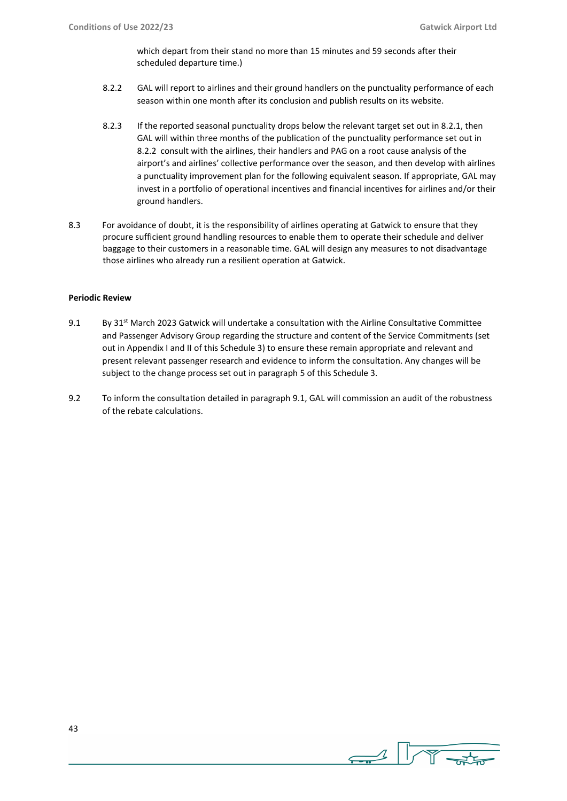which depart from their stand no more than 15 minutes and 59 seconds after their scheduled departure time.)

- 8.2.2 GAL will report to airlines and their ground handlers on the punctuality performance of each season within one month after its conclusion and publish results on its website.
- 8.2.3 If the reported seasonal punctuality drops below the relevant target set out in 8.2.1, then GAL will within three months of the publication of the punctuality performance set out in 8.2.2 consult with the airlines, their handlers and PAG on a root cause analysis of the airport's and airlines' collective performance over the season, and then develop with airlines a punctuality improvement plan for the following equivalent season. If appropriate, GAL may invest in a portfolio of operational incentives and financial incentives for airlines and/or their ground handlers.
- 8.3 For avoidance of doubt, it is the responsibility of airlines operating at Gatwick to ensure that they procure sufficient ground handling resources to enable them to operate their schedule and deliver baggage to their customers in a reasonable time. GAL will design any measures to not disadvantage those airlines who already run a resilient operation at Gatwick.

## **Periodic Review**

- 9.1 By  $31^{st}$  March 2023 Gatwick will undertake a consultation with the Airline Consultative Committee and Passenger Advisory Group regarding the structure and content of the Service Commitments (set out in Appendix I and II of this Schedule 3) to ensure these remain appropriate and relevant and present relevant passenger research and evidence to inform the consultation. Any changes will be subject to the change process set out in paragraph 5 of this Schedule 3.
- 9.2 To inform the consultation detailed in paragraph 9.1, GAL will commission an audit of the robustness of the rebate calculations.

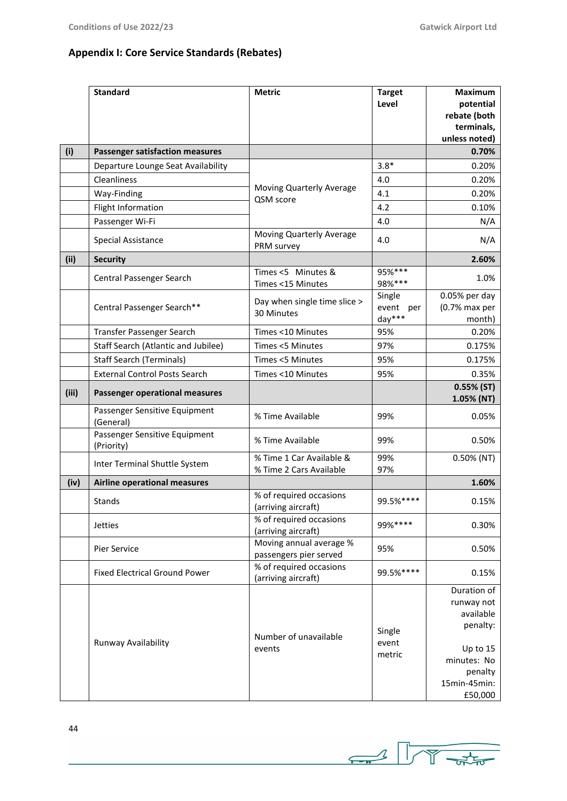# **Appendix I: Core Service Standards (Rebates)**

|       | <b>Standard</b>                             | <b>Metric</b>                                       | <b>Target</b><br>Level           | <b>Maximum</b><br>potential<br>rebate (both<br>terminals,<br>unless noted)                                          |
|-------|---------------------------------------------|-----------------------------------------------------|----------------------------------|---------------------------------------------------------------------------------------------------------------------|
| (i)   | <b>Passenger satisfaction measures</b>      |                                                     |                                  | 0.70%                                                                                                               |
|       | Departure Lounge Seat Availability          |                                                     | $3.8*$                           | 0.20%                                                                                                               |
|       | Cleanliness                                 |                                                     | 4.0                              | 0.20%                                                                                                               |
|       | Way-Finding                                 | Moving Quarterly Average<br>QSM score               | 4.1                              | 0.20%                                                                                                               |
|       | Flight Information                          |                                                     | 4.2                              | 0.10%                                                                                                               |
|       | Passenger Wi-Fi                             |                                                     | 4.0                              | N/A                                                                                                                 |
|       | Special Assistance                          | Moving Quarterly Average<br>PRM survey              | 4.0                              | N/A                                                                                                                 |
| (iii) | <b>Security</b>                             |                                                     |                                  | 2.60%                                                                                                               |
|       | Central Passenger Search                    | Times <5 Minutes &<br>Times <15 Minutes             | 95% ***<br>98% ***               | 1.0%                                                                                                                |
|       | Central Passenger Search**                  | Day when single time slice ><br>30 Minutes          | Single<br>event<br>per<br>day*** | 0.05% per day<br>(0.7% max per<br>month)                                                                            |
|       | Transfer Passenger Search                   | Times <10 Minutes                                   | 95%                              | 0.20%                                                                                                               |
|       | Staff Search (Atlantic and Jubilee)         | Times <5 Minutes                                    | 97%                              | 0.175%                                                                                                              |
|       | <b>Staff Search (Terminals)</b>             | Times <5 Minutes                                    | 95%                              | 0.175%                                                                                                              |
|       | <b>External Control Posts Search</b>        | Times <10 Minutes                                   | 95%                              | 0.35%                                                                                                               |
| (iii) | <b>Passenger operational measures</b>       |                                                     |                                  | $0.55%$ (ST)<br>1.05% (NT)                                                                                          |
|       | Passenger Sensitive Equipment<br>(General)  | % Time Available                                    | 99%                              | 0.05%                                                                                                               |
|       | Passenger Sensitive Equipment<br>(Priority) | % Time Available                                    | 99%                              | 0.50%                                                                                                               |
|       | Inter Terminal Shuttle System               | % Time 1 Car Available &<br>% Time 2 Cars Available | 99%<br>97%                       | 0.50% (NT)                                                                                                          |
| (iv)  | <b>Airline operational measures</b>         |                                                     |                                  | 1.60%                                                                                                               |
|       | <b>Stands</b>                               | % of required occasions<br>(arriving aircraft)      | 99.5%****                        | 0.15%                                                                                                               |
|       | <b>Jetties</b>                              | % of required occasions<br>(arriving aircraft)      | 99%****                          | 0.30%                                                                                                               |
|       | Pier Service                                | Moving annual average %<br>passengers pier served   | 95%                              | 0.50%                                                                                                               |
|       | <b>Fixed Electrical Ground Power</b>        | % of required occasions<br>(arriving aircraft)      | 99.5%****                        | 0.15%                                                                                                               |
|       | Runway Availability                         | Number of unavailable<br>events                     | Single<br>event<br>metric        | Duration of<br>runway not<br>available<br>penalty:<br>Up to 15<br>minutes: No<br>penalty<br>15min-45min:<br>£50,000 |

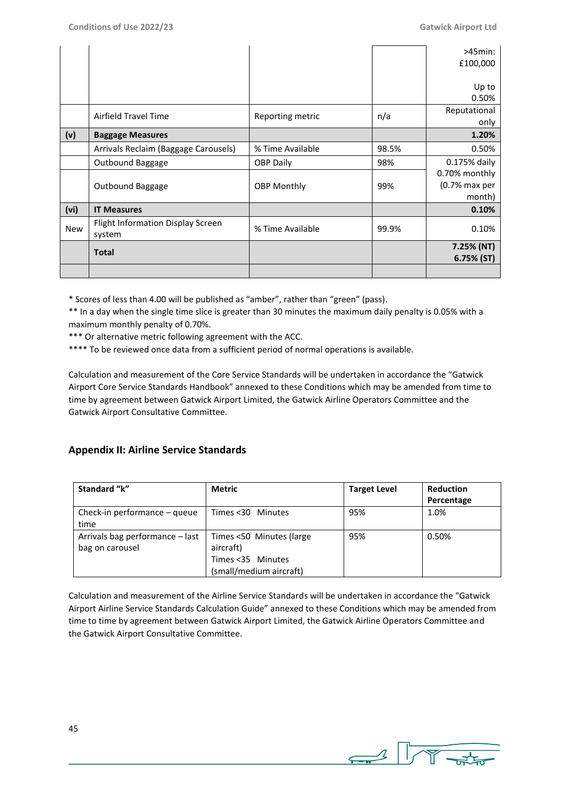|            |                                                    |                    |       | $>45$ min:<br>£100,000                   |
|------------|----------------------------------------------------|--------------------|-------|------------------------------------------|
|            |                                                    |                    |       | Up to<br>0.50%                           |
|            | Airfield Travel Time                               | Reporting metric   | n/a   | Reputational<br>only                     |
| (v)        | <b>Baggage Measures</b>                            |                    |       | 1.20%                                    |
|            | Arrivals Reclaim (Baggage Carousels)               | % Time Available   | 98.5% | 0.50%                                    |
|            | Outbound Baggage                                   | <b>OBP Daily</b>   | 98%   | 0.175% daily                             |
|            | Outbound Baggage                                   | <b>OBP Monthly</b> | 99%   | 0.70% monthly<br>(0.7% max per<br>month) |
| (vi)       | <b>IT Measures</b>                                 |                    |       | 0.10%                                    |
| <b>New</b> | <b>Flight Information Display Screen</b><br>system | % Time Available   | 99.9% | 0.10%                                    |
|            | <b>Total</b>                                       |                    |       | 7.25% (NT)<br>6.75% (ST)                 |
|            |                                                    |                    |       |                                          |

\* Scores of less than 4.00 will be published as "amber", rather than "green" (pass).

\*\* In a day when the single time slice is greater than 30 minutes the maximum daily penalty is 0.05% with a maximum monthly penalty of 0.70%.

\*\*\* Or alternative metric following agreement with the ACC.

\*\*\*\* To be reviewed once data from a sufficient period of normal operations is available.

Calculation and measurement of the Core Service Standards will be undertaken in accordance the "Gatwick Airport Core Service Standards Handbook" annexed to these Conditions which may be amended from time to time by agreement between Gatwick Airport Limited, the Gatwick Airline Operators Committee and the Gatwick Airport Consultative Committee.

# **Appendix II: Airline Service Standards**

| Standard "k"                    | <b>Metric</b>            | <b>Target Level</b> | <b>Reduction</b> |
|---------------------------------|--------------------------|---------------------|------------------|
|                                 |                          |                     | Percentage       |
| Check-in performance – queue    | Times < 30 Minutes       | 95%                 | 1.0%             |
| time                            |                          |                     |                  |
| Arrivals bag performance – last | Times <50 Minutes (large | 95%                 | 0.50%            |
| bag on carousel                 | aircraft)                |                     |                  |
|                                 | Times <35 Minutes        |                     |                  |
|                                 | (small/medium aircraft)  |                     |                  |

Calculation and measurement of the Airline Service Standards will be undertaken in accordance the "Gatwick Airport Airline Service Standards Calculation Guide" annexed to these Conditions which may be amended from time to time by agreement between Gatwick Airport Limited, the Gatwick Airline Operators Committee and the Gatwick Airport Consultative Committee.

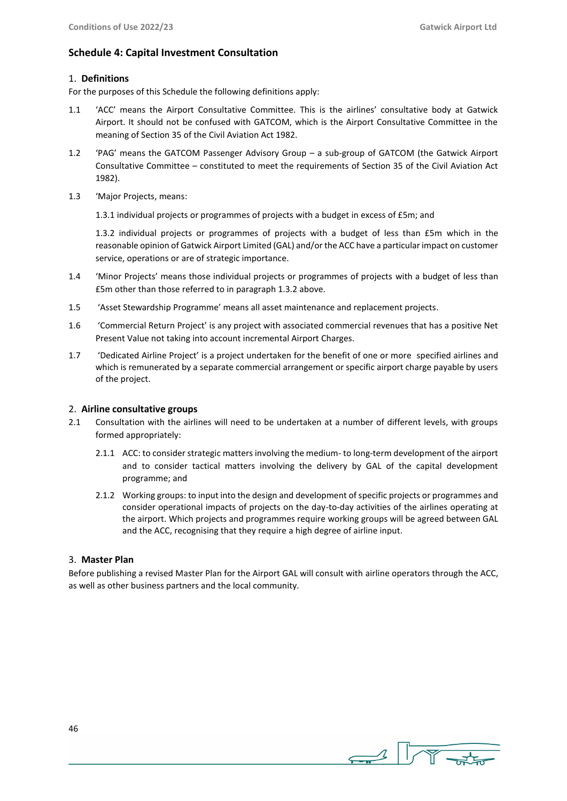## **Schedule 4: Capital Investment Consultation**

## 1. **Definitions**

For the purposes of this Schedule the following definitions apply:

- 1.1 'ACC' means the Airport Consultative Committee. This is the airlines' consultative body at Gatwick Airport. It should not be confused with GATCOM, which is the Airport Consultative Committee in the meaning of Section 35 of the Civil Aviation Act 1982.
- 1.2 'PAG' means the GATCOM Passenger Advisory Group a sub-group of GATCOM (the Gatwick Airport Consultative Committee – constituted to meet the requirements of Section 35 of the Civil Aviation Act 1982).
- 1.3 'Major Projects, means:

1.3.1 individual projects or programmes of projects with a budget in excess of £5m; and

1.3.2 individual projects or programmes of projects with a budget of less than £5m which in the reasonable opinion of Gatwick Airport Limited (GAL) and/or the ACC have a particular impact on customer service, operations or are of strategic importance.

- 1.4 'Minor Projects' means those individual projects or programmes of projects with a budget of less than £5m other than those referred to in paragraph 1.3.2 above.
- 1.5 'Asset Stewardship Programme' means all asset maintenance and replacement projects.
- 1.6 'Commercial Return Project' is any project with associated commercial revenues that has a positive Net Present Value not taking into account incremental Airport Charges.
- 1.7 'Dedicated Airline Project' is a project undertaken for the benefit of one or more specified airlines and which is remunerated by a separate commercial arrangement or specific airport charge payable by users of the project.

## 2. **Airline consultative groups**

- 2.1 Consultation with the airlines will need to be undertaken at a number of different levels, with groups formed appropriately:
	- 2.1.1 ACC: to consider strategic matters involving the medium- to long-term development of the airport and to consider tactical matters involving the delivery by GAL of the capital development programme; and
	- 2.1.2 Working groups: to input into the design and development of specific projects or programmes and consider operational impacts of projects on the day-to-day activities of the airlines operating at the airport. Which projects and programmes require working groups will be agreed between GAL and the ACC, recognising that they require a high degree of airline input.

## 3. **Master Plan**

Before publishing a revised Master Plan for the Airport GAL will consult with airline operators through the ACC, as well as other business partners and the local community.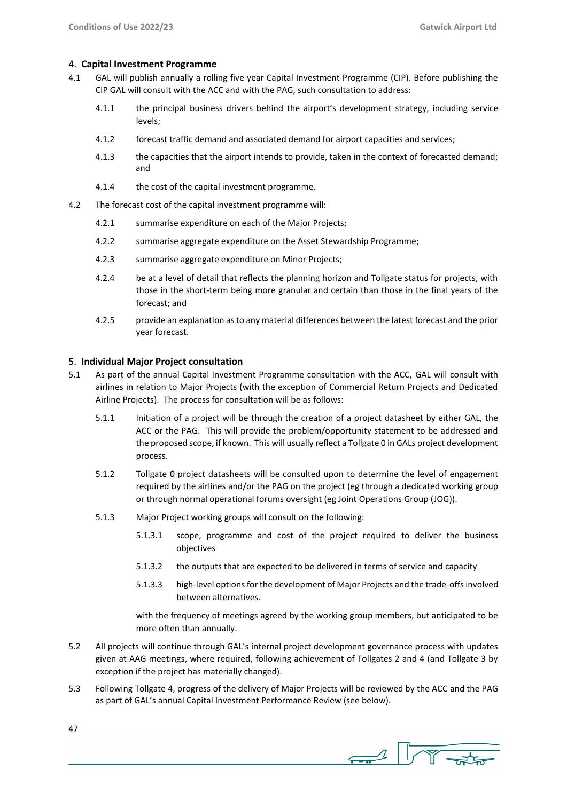## 4. **Capital Investment Programme**

- 4.1 GAL will publish annually a rolling five year Capital Investment Programme (CIP). Before publishing the CIP GAL will consult with the ACC and with the PAG, such consultation to address:
	- 4.1.1 the principal business drivers behind the airport's development strategy, including service levels;
	- 4.1.2 forecast traffic demand and associated demand for airport capacities and services;
	- 4.1.3 the capacities that the airport intends to provide, taken in the context of forecasted demand; and
	- 4.1.4 the cost of the capital investment programme.
- 4.2 The forecast cost of the capital investment programme will:
	- 4.2.1 summarise expenditure on each of the Major Projects;
	- 4.2.2 summarise aggregate expenditure on the Asset Stewardship Programme;
	- 4.2.3 summarise aggregate expenditure on Minor Projects;
	- 4.2.4 be at a level of detail that reflects the planning horizon and Tollgate status for projects, with those in the short-term being more granular and certain than those in the final years of the forecast; and
	- 4.2.5 provide an explanation as to any material differences between the latest forecast and the prior year forecast.

## 5. **Individual Major Project consultation**

- 5.1 As part of the annual Capital Investment Programme consultation with the ACC, GAL will consult with airlines in relation to Major Projects (with the exception of Commercial Return Projects and Dedicated Airline Projects). The process for consultation will be as follows:
	- 5.1.1 Initiation of a project will be through the creation of a project datasheet by either GAL, the ACC or the PAG. This will provide the problem/opportunity statement to be addressed and the proposed scope, if known. This will usually reflect a Tollgate 0 in GALs project development process.
	- 5.1.2 Tollgate 0 project datasheets will be consulted upon to determine the level of engagement required by the airlines and/or the PAG on the project (eg through a dedicated working group or through normal operational forums oversight (eg Joint Operations Group (JOG)).
	- 5.1.3 Major Project working groups will consult on the following:
		- 5.1.3.1 scope, programme and cost of the project required to deliver the business objectives
		- 5.1.3.2 the outputs that are expected to be delivered in terms of service and capacity
		- 5.1.3.3 high-level options for the development of Major Projects and the trade-offs involved between alternatives.

with the frequency of meetings agreed by the working group members, but anticipated to be more often than annually.

- 5.2 All projects will continue through GAL's internal project development governance process with updates given at AAG meetings, where required, following achievement of Tollgates 2 and 4 (and Tollgate 3 by exception if the project has materially changed).
- 5.3 Following Tollgate 4, progress of the delivery of Major Projects will be reviewed by the ACC and the PAG as part of GAL's annual Capital Investment Performance Review (see below).

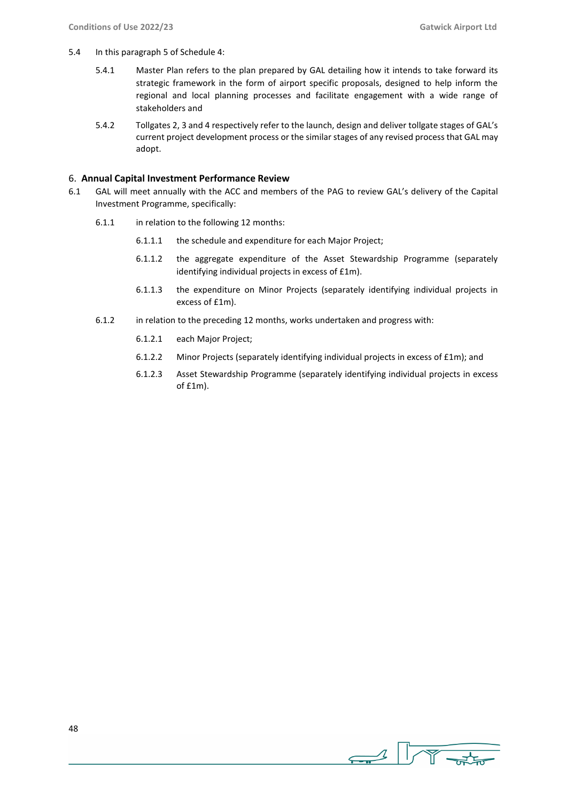- 5.4 In this paragraph 5 of Schedule 4:
	- 5.4.1 Master Plan refers to the plan prepared by GAL detailing how it intends to take forward its strategic framework in the form of airport specific proposals, designed to help inform the regional and local planning processes and facilitate engagement with a wide range of stakeholders and
	- 5.4.2 Tollgates 2, 3 and 4 respectively refer to the launch, design and deliver tollgate stages of GAL's current project development process or the similar stages of any revised process that GAL may adopt.

## 6. **Annual Capital Investment Performance Review**

- 6.1 GAL will meet annually with the ACC and members of the PAG to review GAL's delivery of the Capital Investment Programme, specifically:
	- 6.1.1 in relation to the following 12 months:
		- 6.1.1.1 the schedule and expenditure for each Major Project;
		- 6.1.1.2 the aggregate expenditure of the Asset Stewardship Programme (separately identifying individual projects in excess of £1m).
		- 6.1.1.3 the expenditure on Minor Projects (separately identifying individual projects in excess of £1m).
	- 6.1.2 in relation to the preceding 12 months, works undertaken and progress with:
		- 6.1.2.1 each Major Project;
		- 6.1.2.2 Minor Projects (separately identifying individual projects in excess of £1m); and
		- 6.1.2.3 Asset Stewardship Programme (separately identifying individual projects in excess of £1m).

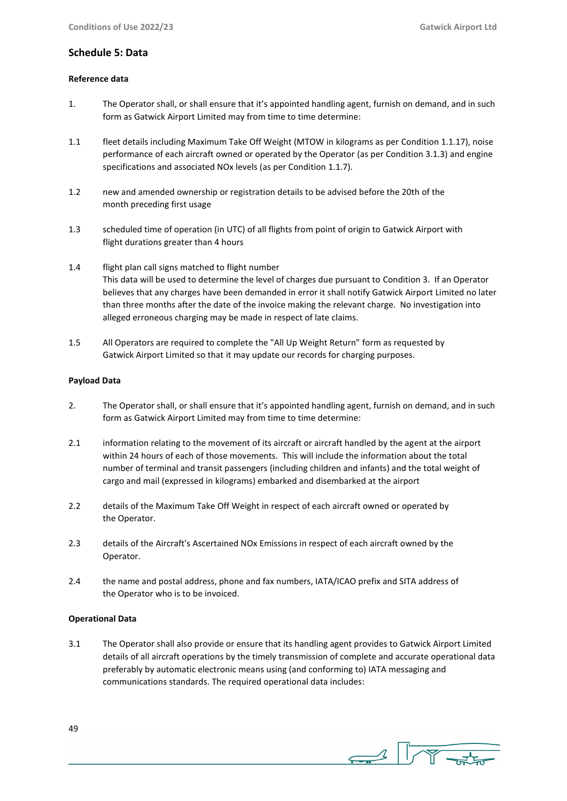## **Schedule 5: Data**

## **Reference data**

- 1. The Operator shall, or shall ensure that it's appointed handling agent, furnish on demand, and in such form as Gatwick Airport Limited may from time to time determine:
- 1.1 fleet details including Maximum Take Off Weight (MTOW in kilograms as per Condition 1.1.17), noise performance of each aircraft owned or operated by the Operator (as per Condition 3.1.3) and engine specifications and associated NOx levels (as per Condition 1.1.7).
- 1.2 new and amended ownership or registration details to be advised before the 20th of the month preceding first usage
- 1.3 scheduled time of operation (in UTC) of all flights from point of origin to Gatwick Airport with flight durations greater than 4 hours
- 1.4 flight plan call signs matched to flight number This data will be used to determine the level of charges due pursuant to Condition 3. If an Operator believes that any charges have been demanded in error it shall notify Gatwick Airport Limited no later than three months after the date of the invoice making the relevant charge. No investigation into alleged erroneous charging may be made in respect of late claims.
- 1.5 All Operators are required to complete the "All Up Weight Return" form as requested by Gatwick Airport Limited so that it may update our records for charging purposes.

## **Payload Data**

- 2. The Operator shall, or shall ensure that it's appointed handling agent, furnish on demand, and in such form as Gatwick Airport Limited may from time to time determine:
- 2.1 information relating to the movement of its aircraft or aircraft handled by the agent at the airport within 24 hours of each of those movements. This will include the information about the total number of terminal and transit passengers (including children and infants) and the total weight of cargo and mail (expressed in kilograms) embarked and disembarked at the airport
- 2.2 details of the Maximum Take Off Weight in respect of each aircraft owned or operated by the Operator.
- 2.3 details of the Aircraft's Ascertained NOx Emissions in respect of each aircraft owned by the Operator.
- 2.4 the name and postal address, phone and fax numbers, IATA/ICAO prefix and SITA address of the Operator who is to be invoiced.

## **Operational Data**

3.1 The Operator shall also provide or ensure that its handling agent provides to Gatwick Airport Limited details of all aircraft operations by the timely transmission of complete and accurate operational data preferably by automatic electronic means using (and conforming to) IATA messaging and communications standards. The required operational data includes:

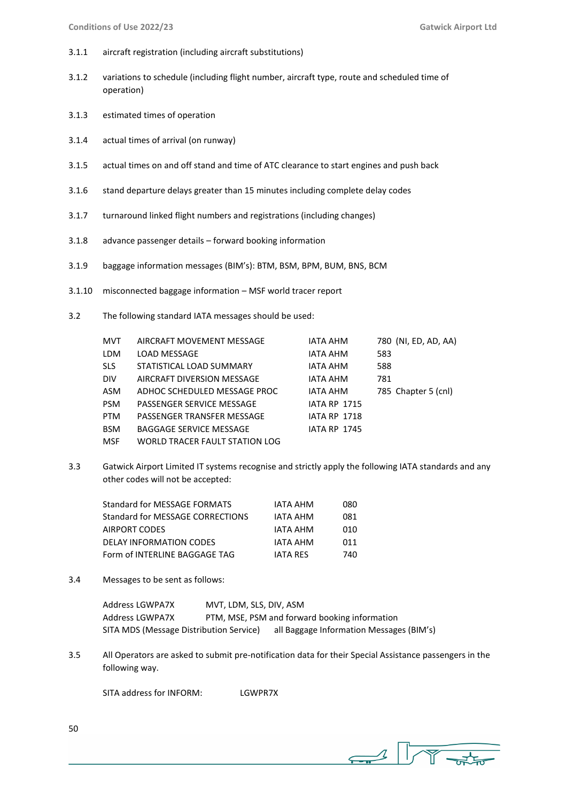- 3.1.1 aircraft registration (including aircraft substitutions)
- 3.1.2 variations to schedule (including flight number, aircraft type, route and scheduled time of operation)
- 3.1.3 estimated times of operation
- 3.1.4 actual times of arrival (on runway)
- 3.1.5 actual times on and off stand and time of ATC clearance to start engines and push back
- 3.1.6 stand departure delays greater than 15 minutes including complete delay codes
- 3.1.7 turnaround linked flight numbers and registrations (including changes)
- 3.1.8 advance passenger details forward booking information
- 3.1.9 baggage information messages (BIM's): BTM, BSM, BPM, BUM, BNS, BCM
- 3.1.10 misconnected baggage information MSF world tracer report
- 3.2 The following standard IATA messages should be used:

| <b>MVT</b> | AIRCRAFT MOVEMENT MESSAGE      | IATA AHM            | 780 (NI, ED, AD, AA) |
|------------|--------------------------------|---------------------|----------------------|
| LDM        | LOAD MESSAGE                   | IATA AHM            | 583                  |
| <b>SLS</b> | STATISTICAL LOAD SUMMARY       | IATA AHM            | 588                  |
| <b>DIV</b> | AIRCRAFT DIVERSION MESSAGE     | IATA AHM            | 781                  |
| ASM        | ADHOC SCHEDULED MESSAGE PROC   | <b>IATA AHM</b>     | 785 Chapter 5 (cnl)  |
| <b>PSM</b> | PASSENGER SERVICE MESSAGE      | <b>IATA RP 1715</b> |                      |
| <b>PTM</b> | PASSENGER TRANSFER MESSAGE     | <b>IATA RP 1718</b> |                      |
| <b>BSM</b> | <b>BAGGAGE SERVICE MESSAGE</b> | <b>IATA RP 1745</b> |                      |
| <b>MSF</b> | WORLD TRACER FAULT STATION LOG |                     |                      |

3.3 Gatwick Airport Limited IT systems recognise and strictly apply the following IATA standards and any other codes will not be accepted:

| Standard for MESSAGE FORMATS     | IATA AHM        | 080  |
|----------------------------------|-----------------|------|
| Standard for MESSAGE CORRECTIONS | IATA AHM        | 081  |
| AIRPORT CODES                    | IATA AHM        | 010  |
| <b>DELAY INFORMATION CODES</b>   | <b>IATA AHM</b> | 011  |
| Form of INTERLINE BAGGAGE TAG    | <b>JATA RES</b> | 740. |

3.4 Messages to be sent as follows:

| Address LGWPA7X                         | MVT, LDM, SLS, DIV, ASM |                                               |
|-----------------------------------------|-------------------------|-----------------------------------------------|
| Address LGWPA7X                         |                         | PTM, MSE, PSM and forward booking information |
| SITA MDS (Message Distribution Service) |                         | all Baggage Information Messages (BIM's)      |

3.5 All Operators are asked to submit pre-notification data for their Special Assistance passengers in the following way.

SITA address for INFORM: LGWPR7X

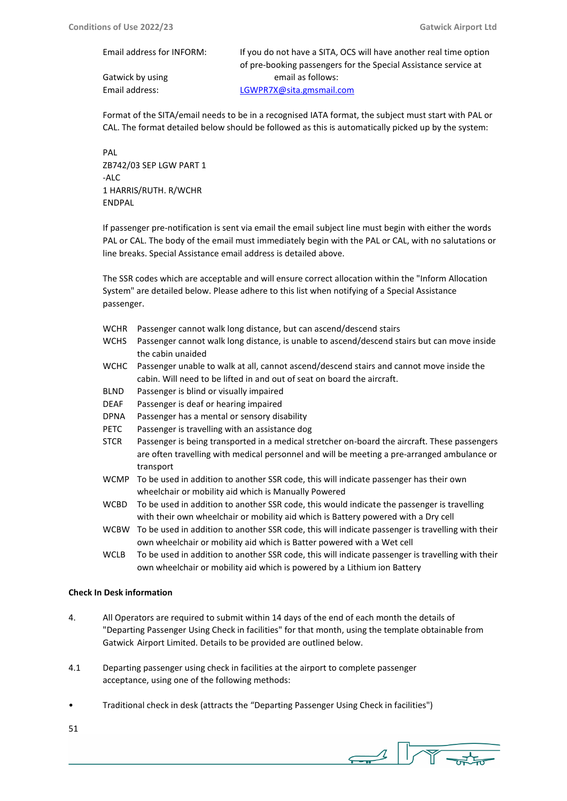| Email address for INFORM: | If you do not have a SITA, OCS will have another real time option |  |
|---------------------------|-------------------------------------------------------------------|--|
|                           | of pre-booking passengers for the Special Assistance service at   |  |
| Gatwick by using          | email as follows:                                                 |  |
| Email address:            | LGWPR7X@sita.gmsmail.com                                          |  |

Format of the SITA/email needs to be in a recognised IATA format, the subject must start with PAL or CAL. The format detailed below should be followed as this is automatically picked up by the system:

PAL ZB742/03 SEP LGW PART 1 -ALC 1 HARRIS/RUTH. R/WCHR ENDPAL

If passenger pre-notification is sent via email the email subject line must begin with either the words PAL or CAL. The body of the email must immediately begin with the PAL or CAL, with no salutations or line breaks. Special Assistance email address is detailed above.

The SSR codes which are acceptable and will ensure correct allocation within the "Inform Allocation System" are detailed below. Please adhere to this list when notifying of a Special Assistance passenger.

- WCHR Passenger cannot walk long distance, but can ascend/descend stairs
- WCHS Passenger cannot walk long distance, is unable to ascend/descend stairs but can move inside the cabin unaided
- WCHC Passenger unable to walk at all, cannot ascend/descend stairs and cannot move inside the cabin. Will need to be lifted in and out of seat on board the aircraft.
- BLND Passenger is blind or visually impaired
- DEAF Passenger is deaf or hearing impaired
- DPNA Passenger has a mental or sensory disability
- PETC Passenger is travelling with an assistance dog
- STCR Passenger is being transported in a medical stretcher on-board the aircraft. These passengers are often travelling with medical personnel and will be meeting a pre-arranged ambulance or transport
- WCMP To be used in addition to another SSR code, this will indicate passenger has their own wheelchair or mobility aid which is Manually Powered
- WCBD To be used in addition to another SSR code, this would indicate the passenger is travelling with their own wheelchair or mobility aid which is Battery powered with a Dry cell
- WCBW To be used in addition to another SSR code, this will indicate passenger is travelling with their own wheelchair or mobility aid which is Batter powered with a Wet cell
- WCLB To be used in addition to another SSR code, this will indicate passenger is travelling with their own wheelchair or mobility aid which is powered by a Lithium ion Battery

## **Check In Desk information**

- 4. All Operators are required to submit within 14 days of the end of each month the details of "Departing Passenger Using Check in facilities" for that month, using the template obtainable from Gatwick Airport Limited. Details to be provided are outlined below.
- 4.1 Departing passenger using check in facilities at the airport to complete passenger acceptance, using one of the following methods:
- Traditional check in desk (attracts the "Departing Passenger Using Check in facilities")
- 51

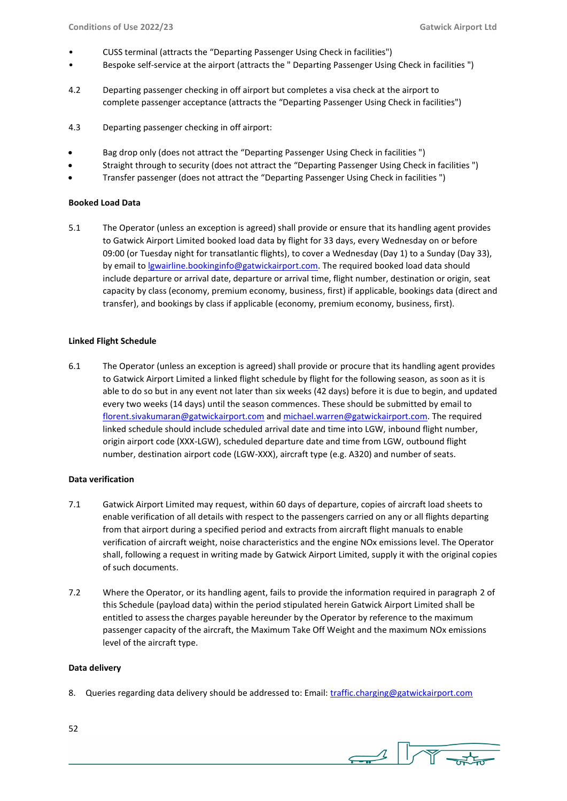- CUSS terminal (attracts the "Departing Passenger Using Check in facilities")
- Bespoke self-service at the airport (attracts the " Departing Passenger Using Check in facilities ")
- 4.2 Departing passenger checking in off airport but completes a visa check at the airport to complete passenger acceptance (attracts the "Departing Passenger Using Check in facilities")
- 4.3 Departing passenger checking in off airport:
- Bag drop only (does not attract the "Departing Passenger Using Check in facilities ")
- Straight through to security (does not attract the "Departing Passenger Using Check in facilities ")
- Transfer passenger (does not attract the "Departing Passenger Using Check in facilities ")

## **Booked Load Data**

5.1 The Operator (unless an exception is agreed) shall provide or ensure that its handling agent provides to Gatwick Airport Limited booked load data by flight for 33 days, every Wednesday on or before 09:00 (or Tuesday night for transatlantic flights), to cover a Wednesday (Day 1) to a Sunday (Day 33), by email t[o lgwairline.bookinginfo@gatwickairport.com.](mailto:lgwairline.bookinginfo@gatwickairport.com) The required booked load data should include departure or arrival date, departure or arrival time, flight number, destination or origin, seat capacity by class (economy, premium economy, business, first) if applicable, bookings data (direct and transfer), and bookings by class if applicable (economy, premium economy, business, first).

#### **Linked Flight Schedule**

6.1 The Operator (unless an exception is agreed) shall provide or procure that its handling agent provides to Gatwick Airport Limited a linked flight schedule by flight for the following season, as soon as it is able to do so but in any event not later than six weeks (42 days) before it is due to begin, and updated every two weeks (14 days) until the season commences. These should be submitted by email to [florent.sivakumaran@gatwickairport.com](mailto:florent.sivakumaran@gatwickairport.com) an[d michael.warren@gatwickairport.com.](mailto:michael.warren@gatwickairport.com) The required linked schedule should include scheduled arrival date and time into LGW, inbound flight number, origin airport code (XXX-LGW), scheduled departure date and time from LGW, outbound flight number, destination airport code (LGW-XXX), aircraft type (e.g. A320) and number of seats.

#### **Data verification**

- 7.1 Gatwick Airport Limited may request, within 60 days of departure, copies of aircraft load sheets to enable verification of all details with respect to the passengers carried on any or all flights departing from that airport during a specified period and extracts from aircraft flight manuals to enable verification of aircraft weight, noise characteristics and the engine NOx emissions level. The Operator shall, following a request in writing made by Gatwick Airport Limited, supply it with the original copies of such documents.
- 7.2 Where the Operator, or its handling agent, fails to provide the information required in paragraph 2 of this Schedule (payload data) within the period stipulated herein Gatwick Airport Limited shall be entitled to assessthe charges payable hereunder by the Operator by reference to the maximum passenger capacity of the aircraft, the Maximum Take Off Weight and the maximum NOx emissions level of the aircraft type.

#### **Data delivery**

8. Queries regarding data delivery should be addressed to: Email: [traffic.charging@gatwickairport.com](mailto:traffic.charging@gatwickairport.com)

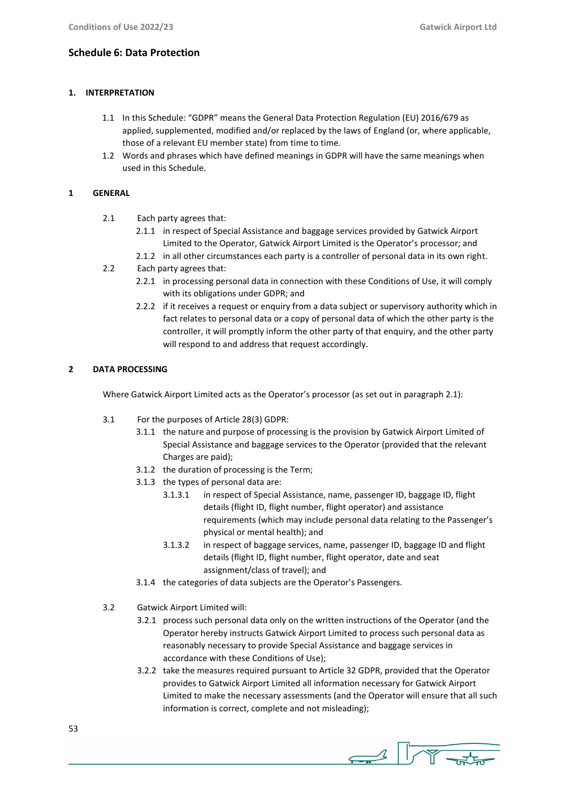## **Schedule 6: Data Protection**

## **1. INTERPRETATION**

- 1.1 In this Schedule: "GDPR" means the General Data Protection Regulation (EU) 2016/679 as applied, supplemented, modified and/or replaced by the laws of England (or, where applicable, those of a relevant EU member state) from time to time.
- 1.2 Words and phrases which have defined meanings in GDPR will have the same meanings when used in this Schedule.

## **1 GENERAL**

- 2.1 Each party agrees that:
	- 2.1.1 in respect of Special Assistance and baggage services provided by Gatwick Airport Limited to the Operator, Gatwick Airport Limited is the Operator's processor; and
	- 2.1.2 in all other circumstances each party is a controller of personal data in its own right.
- 2.2 Each party agrees that:
	- 2.2.1 in processing personal data in connection with these Conditions of Use, it will comply with its obligations under GDPR; and
	- 2.2.2 if it receives a request or enquiry from a data subject or supervisory authority which in fact relates to personal data or a copy of personal data of which the other party is the controller, it will promptly inform the other party of that enquiry, and the other party will respond to and address that request accordingly.

## **2 DATA PROCESSING**

Where Gatwick Airport Limited acts as the Operator's processor (as set out in paragraph 2.1):

- 3.1 For the purposes of Article 28(3) GDPR:
	- 3.1.1 the nature and purpose of processing is the provision by Gatwick Airport Limited of Special Assistance and baggage services to the Operator (provided that the relevant Charges are paid);
	- 3.1.2 the duration of processing is the Term;
	- 3.1.3 the types of personal data are:
		- 3.1.3.1 in respect of Special Assistance, name, passenger ID, baggage ID, flight details (flight ID, flight number, flight operator) and assistance requirements (which may include personal data relating to the Passenger's physical or mental health); and
		- 3.1.3.2 in respect of baggage services, name, passenger ID, baggage ID and flight details (flight ID, flight number, flight operator, date and seat assignment/class of travel); and
	- 3.1.4 the categories of data subjects are the Operator's Passengers.
- 3.2 Gatwick Airport Limited will:
	- 3.2.1 process such personal data only on the written instructions of the Operator (and the Operator hereby instructs Gatwick Airport Limited to process such personal data as reasonably necessary to provide Special Assistance and baggage services in accordance with these Conditions of Use);
	- 3.2.2 take the measures required pursuant to Article 32 GDPR, provided that the Operator provides to Gatwick Airport Limited all information necessary for Gatwick Airport Limited to make the necessary assessments (and the Operator will ensure that all such information is correct, complete and not misleading);